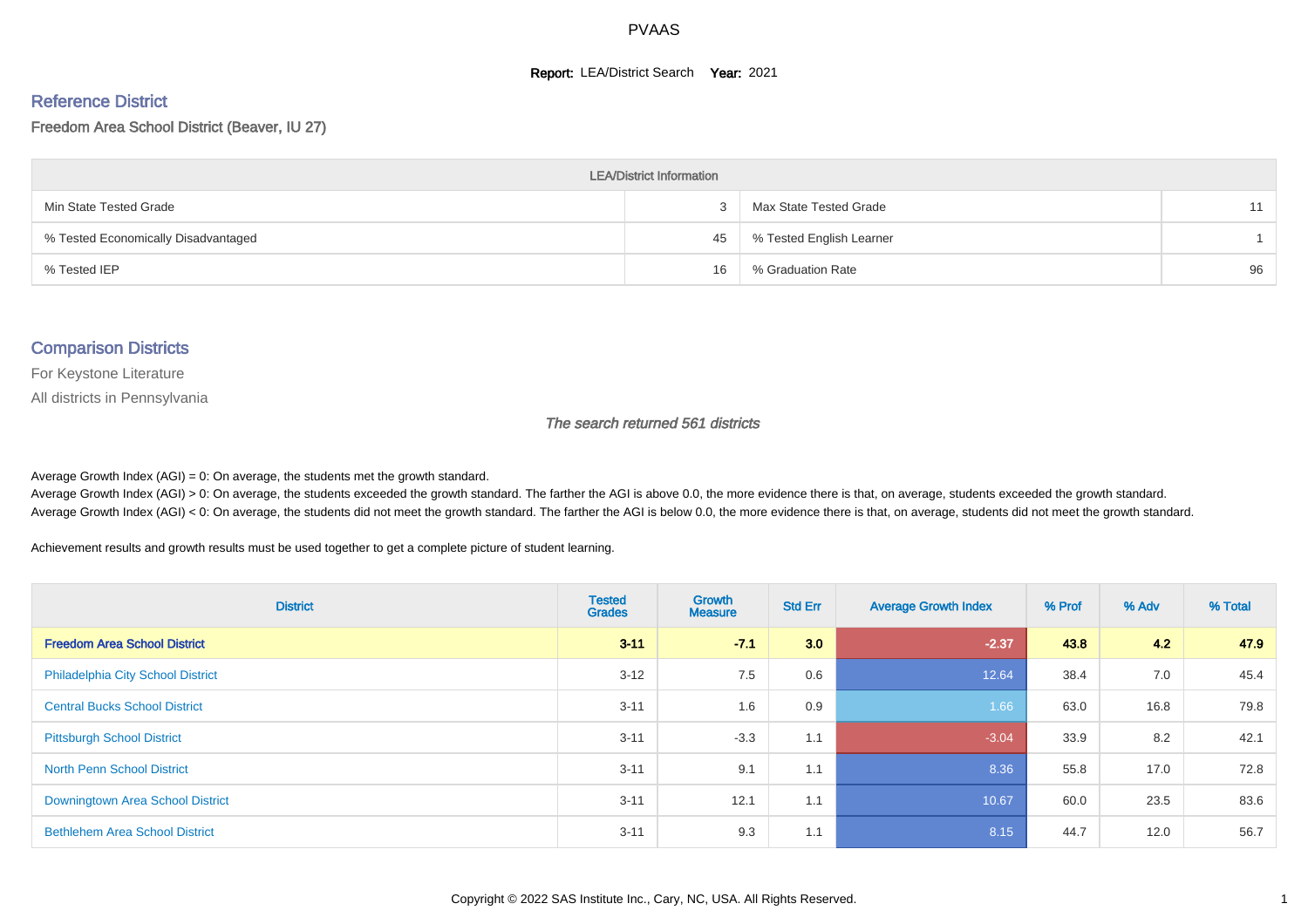#### **Report: LEA/District Search Year: 2021**

# Reference District

Freedom Area School District (Beaver, IU 27)

| <b>LEA/District Information</b>     |    |                          |    |  |  |  |  |  |  |  |
|-------------------------------------|----|--------------------------|----|--|--|--|--|--|--|--|
| Min State Tested Grade              |    | Max State Tested Grade   | 11 |  |  |  |  |  |  |  |
| % Tested Economically Disadvantaged | 45 | % Tested English Learner |    |  |  |  |  |  |  |  |
| % Tested IEP                        | 16 | % Graduation Rate        | 96 |  |  |  |  |  |  |  |

#### Comparison Districts

For Keystone Literature

All districts in Pennsylvania

The search returned 561 districts

Average Growth Index  $(AGI) = 0$ : On average, the students met the growth standard.

Average Growth Index (AGI) > 0: On average, the students exceeded the growth standard. The farther the AGI is above 0.0, the more evidence there is that, on average, students exceeded the growth standard. Average Growth Index (AGI) < 0: On average, the students did not meet the growth standard. The farther the AGI is below 0.0, the more evidence there is that, on average, students did not meet the growth standard.

Achievement results and growth results must be used together to get a complete picture of student learning.

| <b>District</b>                          | <b>Tested</b><br><b>Grades</b> | <b>Growth</b><br><b>Measure</b> | <b>Std Err</b> | <b>Average Growth Index</b> | % Prof | % Adv | % Total |
|------------------------------------------|--------------------------------|---------------------------------|----------------|-----------------------------|--------|-------|---------|
| <b>Freedom Area School District</b>      | $3 - 11$                       | $-7.1$                          | 3.0            | $-2.37$                     | 43.8   | 4.2   | 47.9    |
| <b>Philadelphia City School District</b> | $3 - 12$                       | 7.5                             | 0.6            | 12.64                       | 38.4   | 7.0   | 45.4    |
| <b>Central Bucks School District</b>     | $3 - 11$                       | 1.6                             | 0.9            | 1.66                        | 63.0   | 16.8  | 79.8    |
| <b>Pittsburgh School District</b>        | $3 - 11$                       | $-3.3$                          | 1.1            | $-3.04$                     | 33.9   | 8.2   | 42.1    |
| <b>North Penn School District</b>        | $3 - 11$                       | 9.1                             | 1.1            | 8.36                        | 55.8   | 17.0  | 72.8    |
| Downingtown Area School District         | $3 - 11$                       | 12.1                            | 1.1            | 10.67                       | 60.0   | 23.5  | 83.6    |
| <b>Bethlehem Area School District</b>    | $3 - 11$                       | 9.3                             | 1.1            | 8.15                        | 44.7   | 12.0  | 56.7    |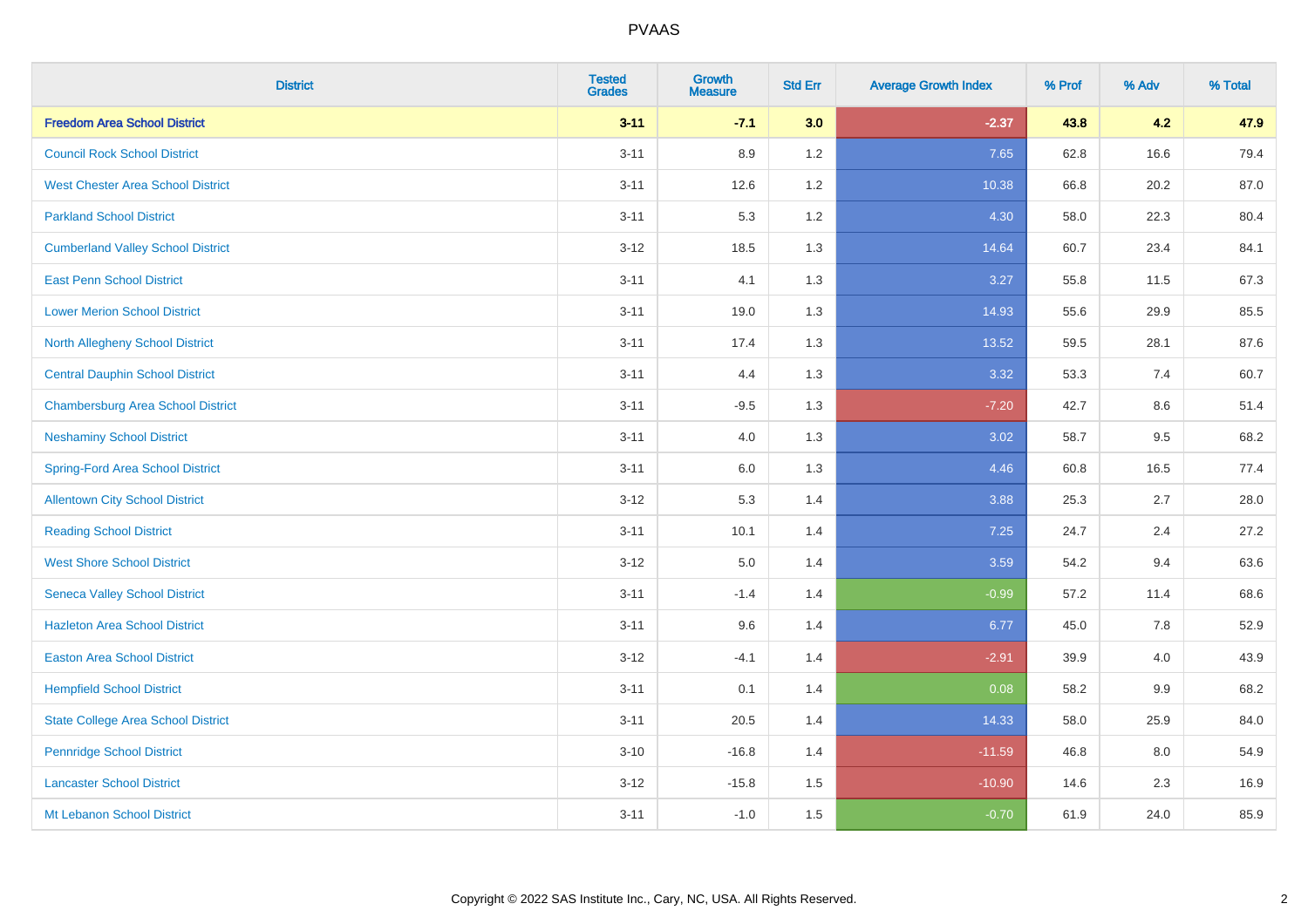| <b>District</b>                           | <b>Tested</b><br><b>Grades</b> | <b>Growth</b><br><b>Measure</b> | <b>Std Err</b> | <b>Average Growth Index</b> | % Prof | % Adv | % Total |
|-------------------------------------------|--------------------------------|---------------------------------|----------------|-----------------------------|--------|-------|---------|
| <b>Freedom Area School District</b>       | $3 - 11$                       | $-7.1$                          | 3.0            | $-2.37$                     | 43.8   | 4.2   | 47.9    |
| <b>Council Rock School District</b>       | $3 - 11$                       | 8.9                             | 1.2            | 7.65                        | 62.8   | 16.6  | 79.4    |
| <b>West Chester Area School District</b>  | $3 - 11$                       | 12.6                            | 1.2            | 10.38                       | 66.8   | 20.2  | 87.0    |
| <b>Parkland School District</b>           | $3 - 11$                       | 5.3                             | 1.2            | 4.30                        | 58.0   | 22.3  | 80.4    |
| <b>Cumberland Valley School District</b>  | $3 - 12$                       | 18.5                            | 1.3            | 14.64                       | 60.7   | 23.4  | 84.1    |
| <b>East Penn School District</b>          | $3 - 11$                       | 4.1                             | 1.3            | 3.27                        | 55.8   | 11.5  | 67.3    |
| <b>Lower Merion School District</b>       | $3 - 11$                       | 19.0                            | 1.3            | 14.93                       | 55.6   | 29.9  | 85.5    |
| <b>North Allegheny School District</b>    | $3 - 11$                       | 17.4                            | 1.3            | 13.52                       | 59.5   | 28.1  | 87.6    |
| <b>Central Dauphin School District</b>    | $3 - 11$                       | 4.4                             | 1.3            | 3.32                        | 53.3   | 7.4   | 60.7    |
| <b>Chambersburg Area School District</b>  | $3 - 11$                       | $-9.5$                          | 1.3            | $-7.20$                     | 42.7   | 8.6   | 51.4    |
| <b>Neshaminy School District</b>          | $3 - 11$                       | 4.0                             | 1.3            | 3.02                        | 58.7   | 9.5   | 68.2    |
| <b>Spring-Ford Area School District</b>   | $3 - 11$                       | $6.0\,$                         | 1.3            | 4.46                        | 60.8   | 16.5  | 77.4    |
| <b>Allentown City School District</b>     | $3 - 12$                       | 5.3                             | 1.4            | 3.88                        | 25.3   | 2.7   | 28.0    |
| <b>Reading School District</b>            | $3 - 11$                       | 10.1                            | 1.4            | 7.25                        | 24.7   | 2.4   | 27.2    |
| <b>West Shore School District</b>         | $3 - 12$                       | $5.0\,$                         | 1.4            | 3.59                        | 54.2   | 9.4   | 63.6    |
| <b>Seneca Valley School District</b>      | $3 - 11$                       | $-1.4$                          | 1.4            | $-0.99$                     | 57.2   | 11.4  | 68.6    |
| <b>Hazleton Area School District</b>      | $3 - 11$                       | 9.6                             | 1.4            | 6.77                        | 45.0   | 7.8   | 52.9    |
| <b>Easton Area School District</b>        | $3 - 12$                       | $-4.1$                          | 1.4            | $-2.91$                     | 39.9   | 4.0   | 43.9    |
| <b>Hempfield School District</b>          | $3 - 11$                       | 0.1                             | 1.4            | 0.08                        | 58.2   | 9.9   | 68.2    |
| <b>State College Area School District</b> | $3 - 11$                       | 20.5                            | 1.4            | 14.33                       | 58.0   | 25.9  | 84.0    |
| <b>Pennridge School District</b>          | $3 - 10$                       | $-16.8$                         | 1.4            | $-11.59$                    | 46.8   | 8.0   | 54.9    |
| <b>Lancaster School District</b>          | $3 - 12$                       | $-15.8$                         | 1.5            | $-10.90$                    | 14.6   | 2.3   | 16.9    |
| Mt Lebanon School District                | $3 - 11$                       | $-1.0$                          | 1.5            | $-0.70$                     | 61.9   | 24.0  | 85.9    |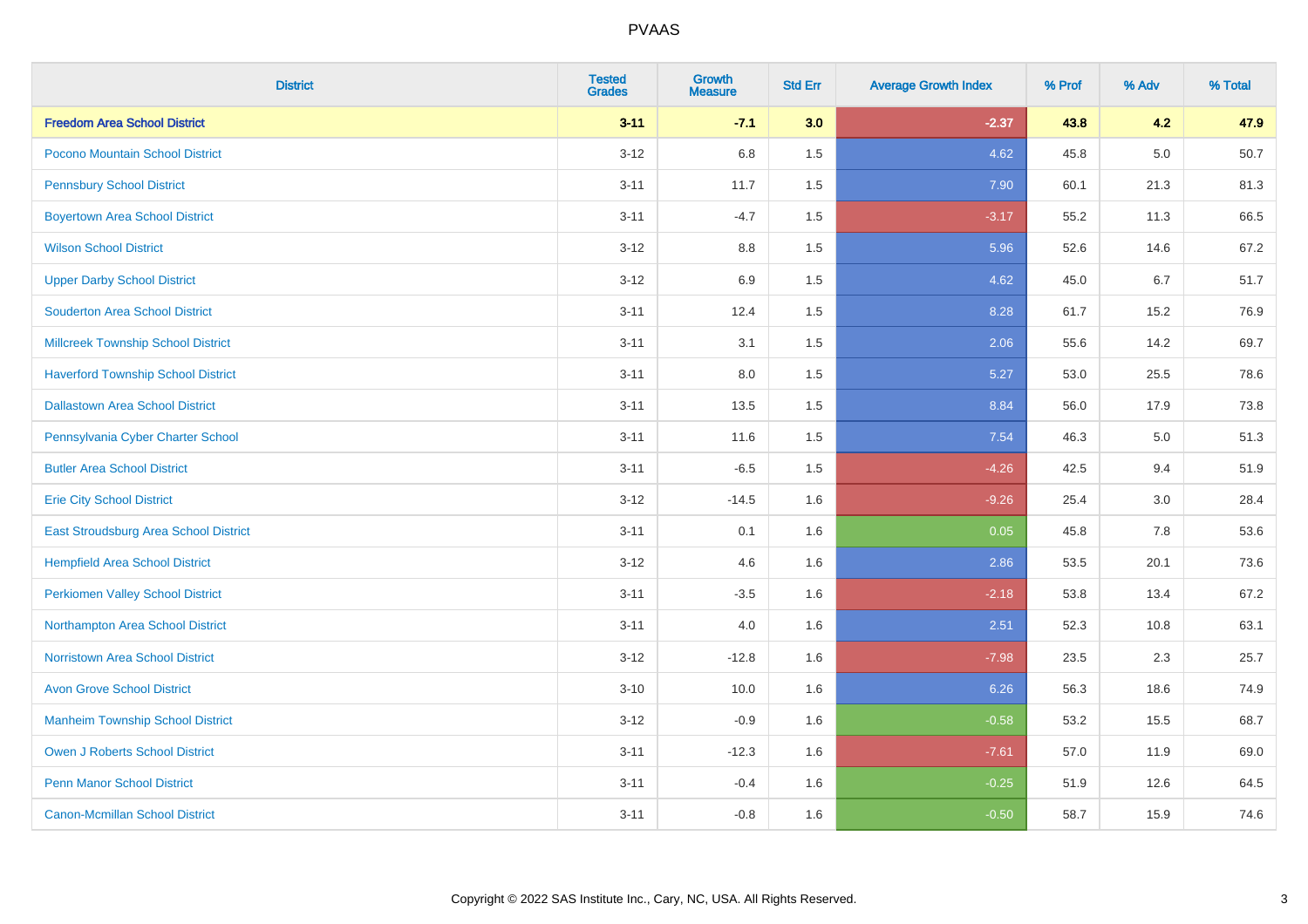| <b>District</b>                           | <b>Tested</b><br><b>Grades</b> | <b>Growth</b><br><b>Measure</b> | <b>Std Err</b> | <b>Average Growth Index</b> | % Prof | % Adv | % Total |
|-------------------------------------------|--------------------------------|---------------------------------|----------------|-----------------------------|--------|-------|---------|
| <b>Freedom Area School District</b>       | $3 - 11$                       | $-7.1$                          | 3.0            | $-2.37$                     | 43.8   | 4.2   | 47.9    |
| Pocono Mountain School District           | $3 - 12$                       | 6.8                             | 1.5            | 4.62                        | 45.8   | 5.0   | 50.7    |
| <b>Pennsbury School District</b>          | $3 - 11$                       | 11.7                            | 1.5            | 7.90                        | 60.1   | 21.3  | 81.3    |
| <b>Boyertown Area School District</b>     | $3 - 11$                       | $-4.7$                          | 1.5            | $-3.17$                     | 55.2   | 11.3  | 66.5    |
| <b>Wilson School District</b>             | $3 - 12$                       | 8.8                             | 1.5            | 5.96                        | 52.6   | 14.6  | 67.2    |
| <b>Upper Darby School District</b>        | $3 - 12$                       | 6.9                             | 1.5            | 4.62                        | 45.0   | 6.7   | 51.7    |
| <b>Souderton Area School District</b>     | $3 - 11$                       | 12.4                            | 1.5            | 8.28                        | 61.7   | 15.2  | 76.9    |
| <b>Millcreek Township School District</b> | $3 - 11$                       | 3.1                             | 1.5            | 2.06                        | 55.6   | 14.2  | 69.7    |
| <b>Haverford Township School District</b> | $3 - 11$                       | 8.0                             | 1.5            | 5.27                        | 53.0   | 25.5  | 78.6    |
| <b>Dallastown Area School District</b>    | $3 - 11$                       | 13.5                            | 1.5            | 8.84                        | 56.0   | 17.9  | 73.8    |
| Pennsylvania Cyber Charter School         | $3 - 11$                       | 11.6                            | 1.5            | 7.54                        | 46.3   | 5.0   | 51.3    |
| <b>Butler Area School District</b>        | $3 - 11$                       | $-6.5$                          | 1.5            | $-4.26$                     | 42.5   | 9.4   | 51.9    |
| <b>Erie City School District</b>          | $3 - 12$                       | $-14.5$                         | 1.6            | $-9.26$                     | 25.4   | 3.0   | 28.4    |
| East Stroudsburg Area School District     | $3 - 11$                       | 0.1                             | 1.6            | 0.05                        | 45.8   | 7.8   | 53.6    |
| <b>Hempfield Area School District</b>     | $3 - 12$                       | 4.6                             | 1.6            | 2.86                        | 53.5   | 20.1  | 73.6    |
| <b>Perkiomen Valley School District</b>   | $3 - 11$                       | $-3.5$                          | 1.6            | $-2.18$                     | 53.8   | 13.4  | 67.2    |
| Northampton Area School District          | $3 - 11$                       | 4.0                             | 1.6            | 2.51                        | 52.3   | 10.8  | 63.1    |
| <b>Norristown Area School District</b>    | $3 - 12$                       | $-12.8$                         | 1.6            | $-7.98$                     | 23.5   | 2.3   | 25.7    |
| <b>Avon Grove School District</b>         | $3 - 10$                       | 10.0                            | 1.6            | 6.26                        | 56.3   | 18.6  | 74.9    |
| <b>Manheim Township School District</b>   | $3 - 12$                       | $-0.9$                          | 1.6            | $-0.58$                     | 53.2   | 15.5  | 68.7    |
| <b>Owen J Roberts School District</b>     | $3 - 11$                       | $-12.3$                         | 1.6            | $-7.61$                     | 57.0   | 11.9  | 69.0    |
| <b>Penn Manor School District</b>         | $3 - 11$                       | $-0.4$                          | 1.6            | $-0.25$                     | 51.9   | 12.6  | 64.5    |
| <b>Canon-Mcmillan School District</b>     | $3 - 11$                       | $-0.8$                          | 1.6            | $-0.50$                     | 58.7   | 15.9  | 74.6    |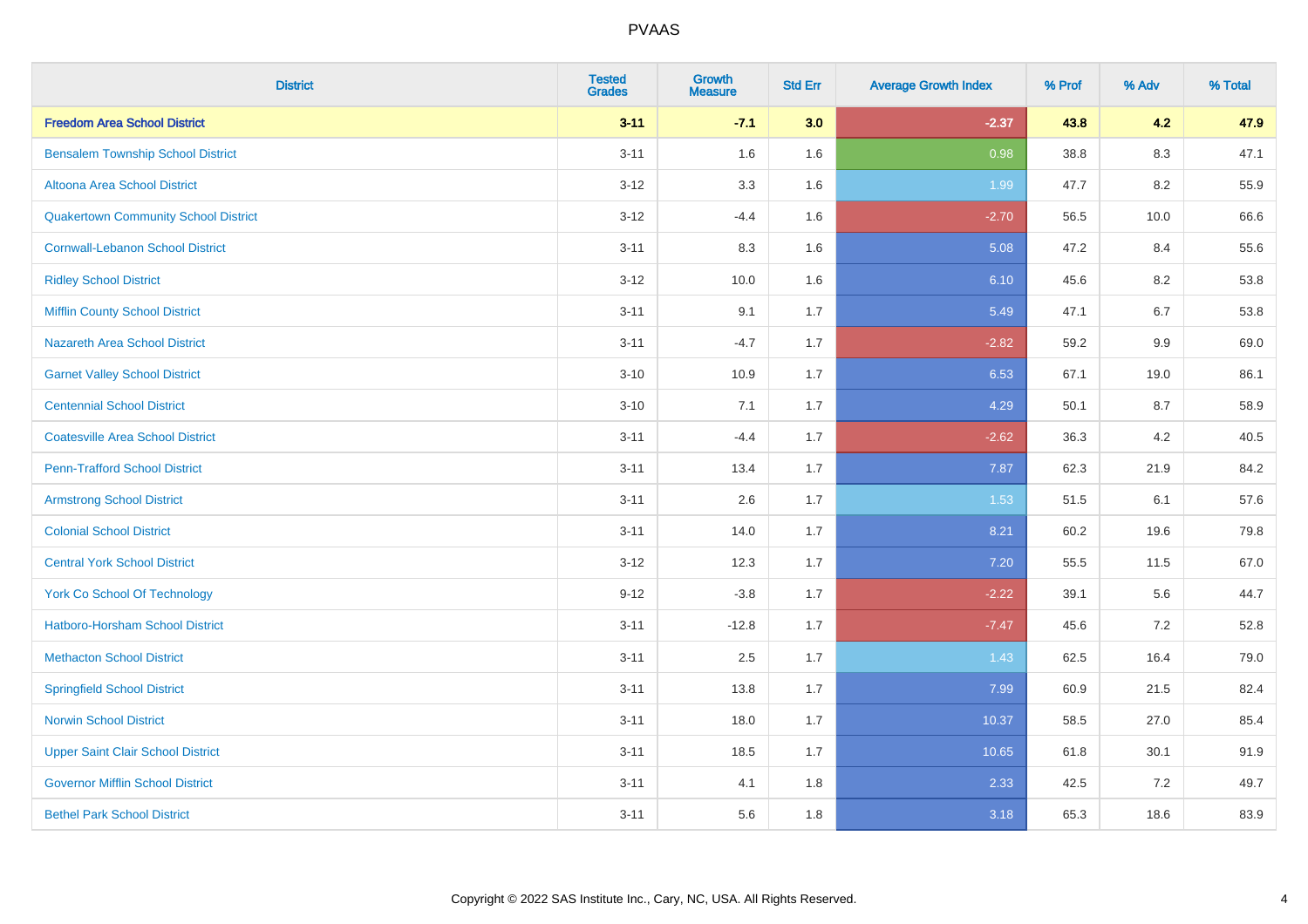| <b>District</b>                             | <b>Tested</b><br><b>Grades</b> | <b>Growth</b><br><b>Measure</b> | <b>Std Err</b> | <b>Average Growth Index</b> | % Prof | % Adv   | % Total |
|---------------------------------------------|--------------------------------|---------------------------------|----------------|-----------------------------|--------|---------|---------|
| <b>Freedom Area School District</b>         | $3 - 11$                       | $-7.1$                          | 3.0            | $-2.37$                     | 43.8   | 4.2     | 47.9    |
| <b>Bensalem Township School District</b>    | $3 - 11$                       | 1.6                             | 1.6            | 0.98                        | 38.8   | 8.3     | 47.1    |
| Altoona Area School District                | $3 - 12$                       | 3.3                             | 1.6            | 1.99                        | 47.7   | 8.2     | 55.9    |
| <b>Quakertown Community School District</b> | $3 - 12$                       | $-4.4$                          | 1.6            | $-2.70$                     | 56.5   | 10.0    | 66.6    |
| <b>Cornwall-Lebanon School District</b>     | $3 - 11$                       | 8.3                             | 1.6            | 5.08                        | 47.2   | 8.4     | 55.6    |
| <b>Ridley School District</b>               | $3 - 12$                       | 10.0                            | 1.6            | 6.10                        | 45.6   | 8.2     | 53.8    |
| <b>Mifflin County School District</b>       | $3 - 11$                       | 9.1                             | 1.7            | 5.49                        | 47.1   | 6.7     | 53.8    |
| <b>Nazareth Area School District</b>        | $3 - 11$                       | $-4.7$                          | 1.7            | $-2.82$                     | 59.2   | 9.9     | 69.0    |
| <b>Garnet Valley School District</b>        | $3 - 10$                       | 10.9                            | 1.7            | 6.53                        | 67.1   | 19.0    | 86.1    |
| <b>Centennial School District</b>           | $3 - 10$                       | 7.1                             | 1.7            | 4.29                        | 50.1   | 8.7     | 58.9    |
| <b>Coatesville Area School District</b>     | $3 - 11$                       | $-4.4$                          | 1.7            | $-2.62$                     | 36.3   | 4.2     | 40.5    |
| <b>Penn-Trafford School District</b>        | $3 - 11$                       | 13.4                            | 1.7            | 7.87                        | 62.3   | 21.9    | 84.2    |
| <b>Armstrong School District</b>            | $3 - 11$                       | 2.6                             | 1.7            | 1.53                        | 51.5   | 6.1     | 57.6    |
| <b>Colonial School District</b>             | $3 - 11$                       | 14.0                            | 1.7            | 8.21                        | 60.2   | 19.6    | 79.8    |
| <b>Central York School District</b>         | $3 - 12$                       | 12.3                            | 1.7            | 7.20                        | 55.5   | 11.5    | 67.0    |
| <b>York Co School Of Technology</b>         | $9 - 12$                       | $-3.8$                          | 1.7            | $-2.22$                     | 39.1   | 5.6     | 44.7    |
| Hatboro-Horsham School District             | $3 - 11$                       | $-12.8$                         | 1.7            | $-7.47$                     | 45.6   | $7.2\,$ | 52.8    |
| <b>Methacton School District</b>            | $3 - 11$                       | 2.5                             | 1.7            | 1.43                        | 62.5   | 16.4    | 79.0    |
| <b>Springfield School District</b>          | $3 - 11$                       | 13.8                            | 1.7            | 7.99                        | 60.9   | 21.5    | 82.4    |
| <b>Norwin School District</b>               | $3 - 11$                       | 18.0                            | 1.7            | 10.37                       | 58.5   | 27.0    | 85.4    |
| <b>Upper Saint Clair School District</b>    | $3 - 11$                       | 18.5                            | 1.7            | 10.65                       | 61.8   | 30.1    | 91.9    |
| <b>Governor Mifflin School District</b>     | $3 - 11$                       | 4.1                             | 1.8            | 2.33                        | 42.5   | 7.2     | 49.7    |
| <b>Bethel Park School District</b>          | $3 - 11$                       | 5.6                             | 1.8            | 3.18                        | 65.3   | 18.6    | 83.9    |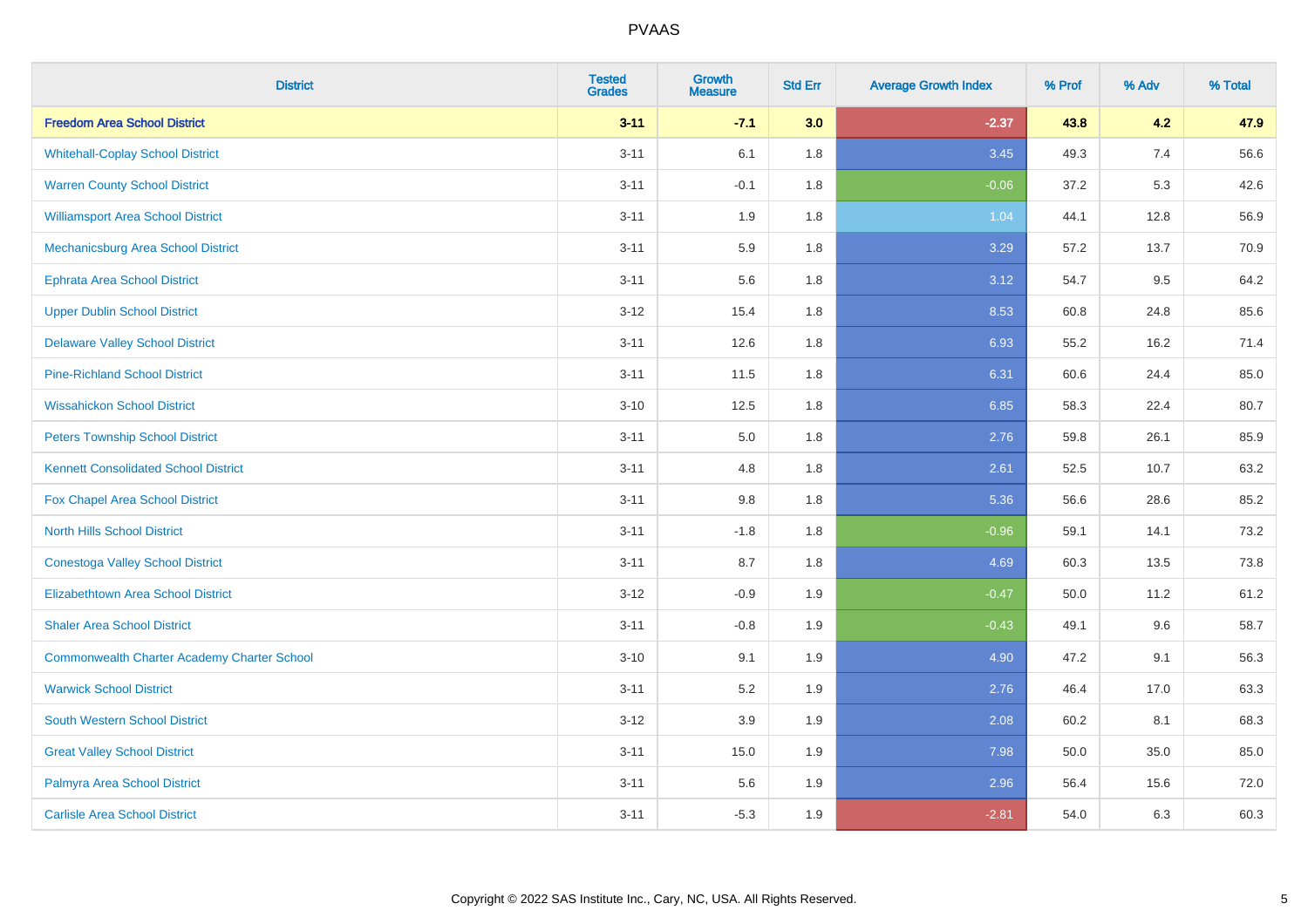| <b>District</b>                                    | <b>Tested</b><br><b>Grades</b> | <b>Growth</b><br><b>Measure</b> | <b>Std Err</b> | <b>Average Growth Index</b> | % Prof | % Adv | % Total |
|----------------------------------------------------|--------------------------------|---------------------------------|----------------|-----------------------------|--------|-------|---------|
| <b>Freedom Area School District</b>                | $3 - 11$                       | $-7.1$                          | 3.0            | $-2.37$                     | 43.8   | 4.2   | 47.9    |
| <b>Whitehall-Coplay School District</b>            | $3 - 11$                       | 6.1                             | 1.8            | 3.45                        | 49.3   | 7.4   | 56.6    |
| <b>Warren County School District</b>               | $3 - 11$                       | $-0.1$                          | 1.8            | $-0.06$                     | 37.2   | 5.3   | 42.6    |
| <b>Williamsport Area School District</b>           | $3 - 11$                       | 1.9                             | 1.8            | 1.04                        | 44.1   | 12.8  | 56.9    |
| Mechanicsburg Area School District                 | $3 - 11$                       | 5.9                             | 1.8            | 3.29                        | 57.2   | 13.7  | 70.9    |
| Ephrata Area School District                       | $3 - 11$                       | 5.6                             | 1.8            | 3.12                        | 54.7   | 9.5   | 64.2    |
| <b>Upper Dublin School District</b>                | $3 - 12$                       | 15.4                            | 1.8            | 8.53                        | 60.8   | 24.8  | 85.6    |
| <b>Delaware Valley School District</b>             | $3 - 11$                       | 12.6                            | 1.8            | 6.93                        | 55.2   | 16.2  | 71.4    |
| <b>Pine-Richland School District</b>               | $3 - 11$                       | 11.5                            | 1.8            | 6.31                        | 60.6   | 24.4  | 85.0    |
| <b>Wissahickon School District</b>                 | $3 - 10$                       | 12.5                            | 1.8            | 6.85                        | 58.3   | 22.4  | 80.7    |
| <b>Peters Township School District</b>             | $3 - 11$                       | 5.0                             | 1.8            | 2.76                        | 59.8   | 26.1  | 85.9    |
| <b>Kennett Consolidated School District</b>        | $3 - 11$                       | 4.8                             | 1.8            | 2.61                        | 52.5   | 10.7  | 63.2    |
| Fox Chapel Area School District                    | $3 - 11$                       | 9.8                             | 1.8            | 5.36                        | 56.6   | 28.6  | 85.2    |
| <b>North Hills School District</b>                 | $3 - 11$                       | $-1.8$                          | 1.8            | $-0.96$                     | 59.1   | 14.1  | 73.2    |
| <b>Conestoga Valley School District</b>            | $3 - 11$                       | 8.7                             | 1.8            | 4.69                        | 60.3   | 13.5  | 73.8    |
| <b>Elizabethtown Area School District</b>          | $3 - 12$                       | $-0.9$                          | 1.9            | $-0.47$                     | 50.0   | 11.2  | 61.2    |
| <b>Shaler Area School District</b>                 | $3 - 11$                       | $-0.8$                          | 1.9            | $-0.43$                     | 49.1   | 9.6   | 58.7    |
| <b>Commonwealth Charter Academy Charter School</b> | $3 - 10$                       | 9.1                             | 1.9            | 4.90                        | 47.2   | 9.1   | 56.3    |
| <b>Warwick School District</b>                     | $3 - 11$                       | 5.2                             | 1.9            | 2.76                        | 46.4   | 17.0  | 63.3    |
| <b>South Western School District</b>               | $3 - 12$                       | 3.9                             | 1.9            | 2.08                        | 60.2   | 8.1   | 68.3    |
| <b>Great Valley School District</b>                | $3 - 11$                       | 15.0                            | 1.9            | 7.98                        | 50.0   | 35.0  | 85.0    |
| Palmyra Area School District                       | $3 - 11$                       | 5.6                             | 1.9            | 2.96                        | 56.4   | 15.6  | 72.0    |
| <b>Carlisle Area School District</b>               | $3 - 11$                       | $-5.3$                          | 1.9            | $-2.81$                     | 54.0   | 6.3   | 60.3    |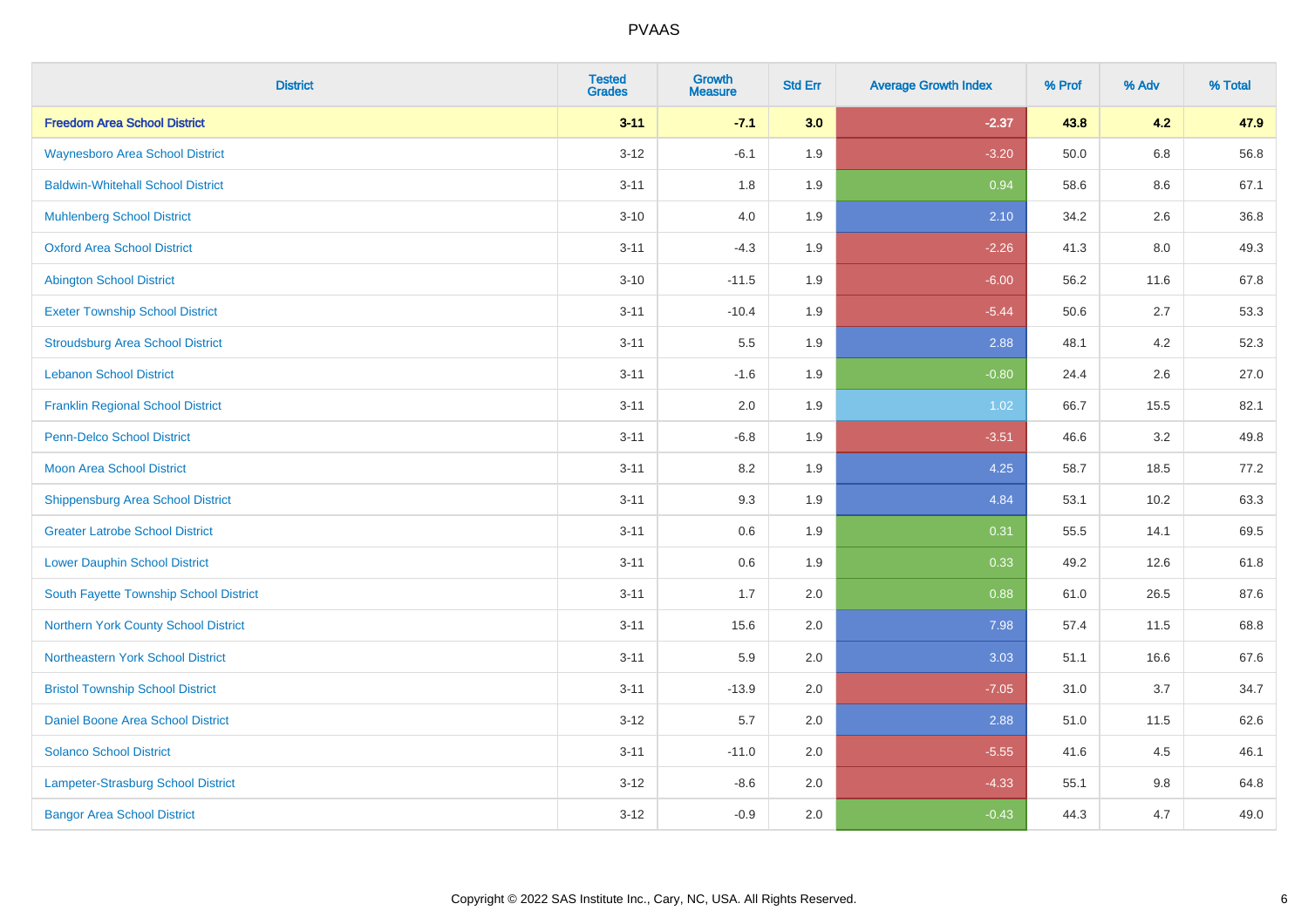| <b>District</b>                          | <b>Tested</b><br><b>Grades</b> | <b>Growth</b><br><b>Measure</b> | <b>Std Err</b> | <b>Average Growth Index</b> | % Prof | % Adv   | % Total |
|------------------------------------------|--------------------------------|---------------------------------|----------------|-----------------------------|--------|---------|---------|
| <b>Freedom Area School District</b>      | $3 - 11$                       | $-7.1$                          | 3.0            | $-2.37$                     | 43.8   | 4.2     | 47.9    |
| <b>Waynesboro Area School District</b>   | $3 - 12$                       | $-6.1$                          | 1.9            | $-3.20$                     | 50.0   | $6.8\,$ | 56.8    |
| <b>Baldwin-Whitehall School District</b> | $3 - 11$                       | 1.8                             | 1.9            | 0.94                        | 58.6   | 8.6     | 67.1    |
| <b>Muhlenberg School District</b>        | $3 - 10$                       | 4.0                             | 1.9            | 2.10                        | 34.2   | 2.6     | 36.8    |
| <b>Oxford Area School District</b>       | $3 - 11$                       | $-4.3$                          | 1.9            | $-2.26$                     | 41.3   | 8.0     | 49.3    |
| <b>Abington School District</b>          | $3 - 10$                       | $-11.5$                         | 1.9            | $-6.00$                     | 56.2   | 11.6    | 67.8    |
| <b>Exeter Township School District</b>   | $3 - 11$                       | $-10.4$                         | 1.9            | $-5.44$                     | 50.6   | 2.7     | 53.3    |
| <b>Stroudsburg Area School District</b>  | $3 - 11$                       | $5.5\,$                         | 1.9            | 2.88                        | 48.1   | 4.2     | 52.3    |
| <b>Lebanon School District</b>           | $3 - 11$                       | $-1.6$                          | 1.9            | $-0.80$                     | 24.4   | 2.6     | 27.0    |
| <b>Franklin Regional School District</b> | $3 - 11$                       | 2.0                             | 1.9            | 1.02                        | 66.7   | 15.5    | 82.1    |
| <b>Penn-Delco School District</b>        | $3 - 11$                       | $-6.8$                          | 1.9            | $-3.51$                     | 46.6   | 3.2     | 49.8    |
| <b>Moon Area School District</b>         | $3 - 11$                       | 8.2                             | 1.9            | 4.25                        | 58.7   | 18.5    | 77.2    |
| <b>Shippensburg Area School District</b> | $3 - 11$                       | 9.3                             | 1.9            | 4.84                        | 53.1   | 10.2    | 63.3    |
| <b>Greater Latrobe School District</b>   | $3 - 11$                       | 0.6                             | 1.9            | 0.31                        | 55.5   | 14.1    | 69.5    |
| <b>Lower Dauphin School District</b>     | $3 - 11$                       | 0.6                             | 1.9            | 0.33                        | 49.2   | 12.6    | 61.8    |
| South Fayette Township School District   | $3 - 11$                       | 1.7                             | 2.0            | 0.88                        | 61.0   | 26.5    | 87.6    |
| Northern York County School District     | $3 - 11$                       | 15.6                            | 2.0            | 7.98                        | 57.4   | 11.5    | 68.8    |
| Northeastern York School District        | $3 - 11$                       | 5.9                             | 2.0            | 3.03                        | 51.1   | 16.6    | 67.6    |
| <b>Bristol Township School District</b>  | $3 - 11$                       | $-13.9$                         | 2.0            | $-7.05$                     | 31.0   | 3.7     | 34.7    |
| <b>Daniel Boone Area School District</b> | $3 - 12$                       | 5.7                             | 2.0            | 2.88                        | 51.0   | 11.5    | 62.6    |
| <b>Solanco School District</b>           | $3 - 11$                       | $-11.0$                         | 2.0            | $-5.55$                     | 41.6   | 4.5     | 46.1    |
| Lampeter-Strasburg School District       | $3 - 12$                       | $-8.6$                          | 2.0            | $-4.33$                     | 55.1   | 9.8     | 64.8    |
| <b>Bangor Area School District</b>       | $3 - 12$                       | $-0.9$                          | 2.0            | $-0.43$                     | 44.3   | 4.7     | 49.0    |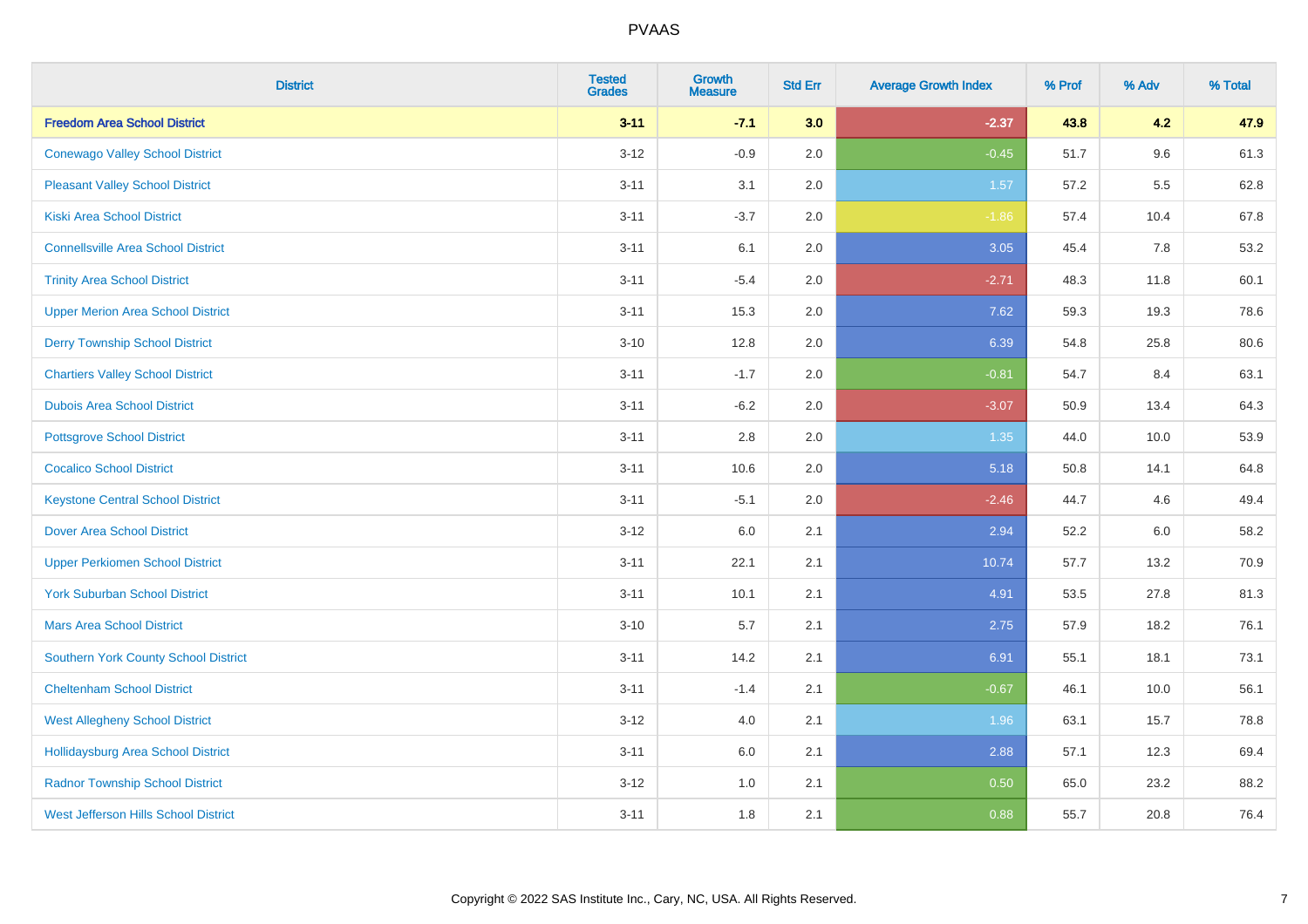| <b>District</b>                             | <b>Tested</b><br><b>Grades</b> | Growth<br><b>Measure</b> | <b>Std Err</b> | <b>Average Growth Index</b> | % Prof | % Adv | % Total |
|---------------------------------------------|--------------------------------|--------------------------|----------------|-----------------------------|--------|-------|---------|
| <b>Freedom Area School District</b>         | $3 - 11$                       | $-7.1$                   | 3.0            | $-2.37$                     | 43.8   | 4.2   | 47.9    |
| <b>Conewago Valley School District</b>      | $3 - 12$                       | $-0.9$                   | 2.0            | $-0.45$                     | 51.7   | 9.6   | 61.3    |
| <b>Pleasant Valley School District</b>      | $3 - 11$                       | 3.1                      | 2.0            | 1.57                        | 57.2   | 5.5   | 62.8    |
| <b>Kiski Area School District</b>           | $3 - 11$                       | $-3.7$                   | 2.0            | $-1.86$                     | 57.4   | 10.4  | 67.8    |
| <b>Connellsville Area School District</b>   | $3 - 11$                       | 6.1                      | 2.0            | 3.05                        | 45.4   | 7.8   | 53.2    |
| <b>Trinity Area School District</b>         | $3 - 11$                       | $-5.4$                   | 2.0            | $-2.71$                     | 48.3   | 11.8  | 60.1    |
| <b>Upper Merion Area School District</b>    | $3 - 11$                       | 15.3                     | 2.0            | 7.62                        | 59.3   | 19.3  | 78.6    |
| <b>Derry Township School District</b>       | $3 - 10$                       | 12.8                     | 2.0            | 6.39                        | 54.8   | 25.8  | 80.6    |
| <b>Chartiers Valley School District</b>     | $3 - 11$                       | $-1.7$                   | 2.0            | $-0.81$                     | 54.7   | 8.4   | 63.1    |
| <b>Dubois Area School District</b>          | $3 - 11$                       | $-6.2$                   | 2.0            | $-3.07$                     | 50.9   | 13.4  | 64.3    |
| <b>Pottsgrove School District</b>           | $3 - 11$                       | 2.8                      | 2.0            | $1.35$                      | 44.0   | 10.0  | 53.9    |
| <b>Cocalico School District</b>             | $3 - 11$                       | 10.6                     | 2.0            | 5.18                        | 50.8   | 14.1  | 64.8    |
| <b>Keystone Central School District</b>     | $3 - 11$                       | $-5.1$                   | 2.0            | $-2.46$                     | 44.7   | 4.6   | 49.4    |
| <b>Dover Area School District</b>           | $3 - 12$                       | 6.0                      | 2.1            | 2.94                        | 52.2   | 6.0   | 58.2    |
| <b>Upper Perkiomen School District</b>      | $3 - 11$                       | 22.1                     | 2.1            | 10.74                       | 57.7   | 13.2  | 70.9    |
| <b>York Suburban School District</b>        | $3 - 11$                       | 10.1                     | 2.1            | 4.91                        | 53.5   | 27.8  | 81.3    |
| <b>Mars Area School District</b>            | $3 - 10$                       | 5.7                      | 2.1            | 2.75                        | 57.9   | 18.2  | 76.1    |
| Southern York County School District        | $3 - 11$                       | 14.2                     | 2.1            | 6.91                        | 55.1   | 18.1  | 73.1    |
| <b>Cheltenham School District</b>           | $3 - 11$                       | $-1.4$                   | 2.1            | $-0.67$                     | 46.1   | 10.0  | 56.1    |
| <b>West Allegheny School District</b>       | $3 - 12$                       | 4.0                      | 2.1            | 1.96                        | 63.1   | 15.7  | 78.8    |
| <b>Hollidaysburg Area School District</b>   | $3 - 11$                       | 6.0                      | 2.1            | 2.88                        | 57.1   | 12.3  | 69.4    |
| <b>Radnor Township School District</b>      | $3 - 12$                       | 1.0                      | 2.1            | 0.50                        | 65.0   | 23.2  | 88.2    |
| <b>West Jefferson Hills School District</b> | $3 - 11$                       | 1.8                      | 2.1            | 0.88                        | 55.7   | 20.8  | 76.4    |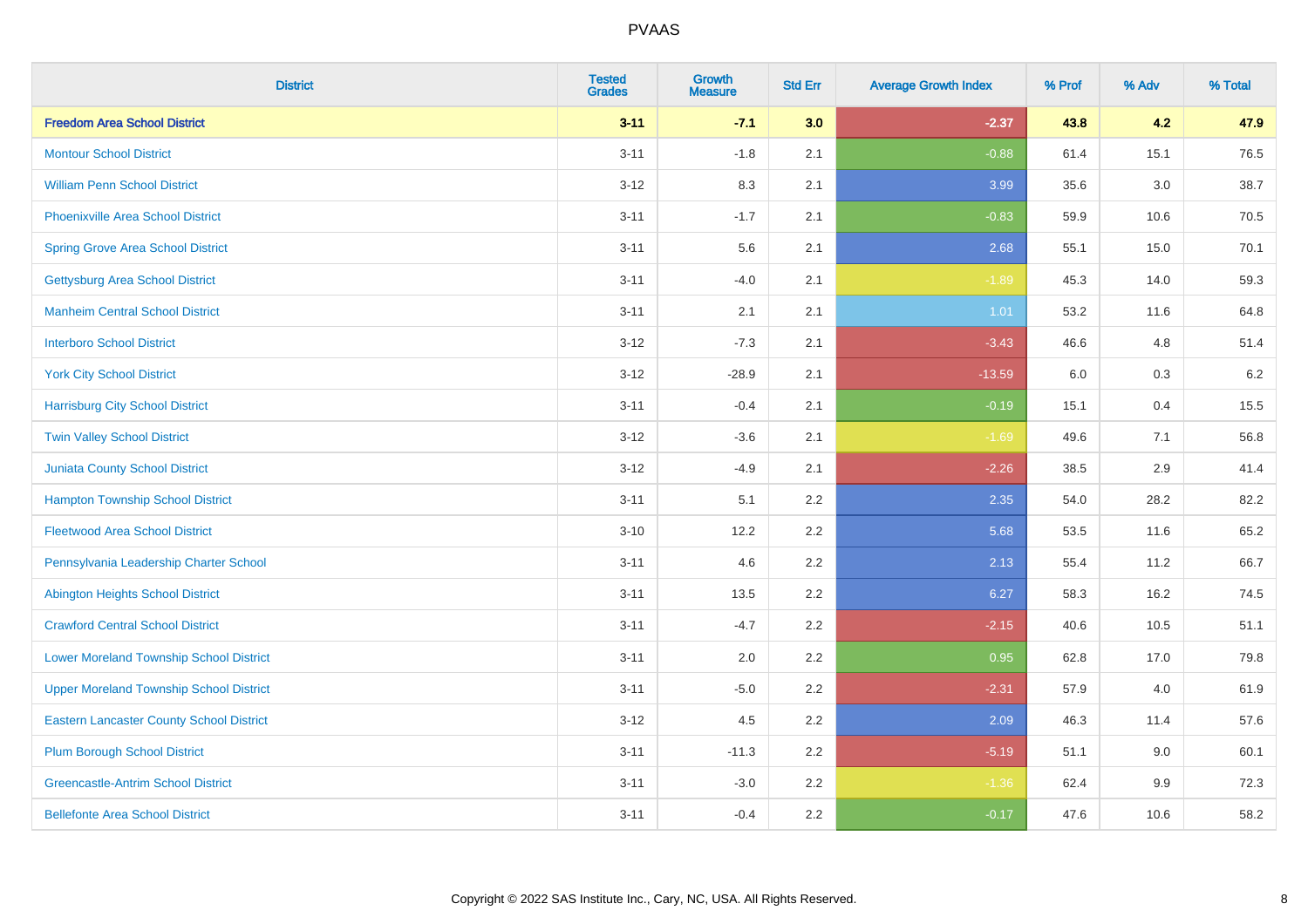| <b>District</b>                                 | <b>Tested</b><br><b>Grades</b> | <b>Growth</b><br><b>Measure</b> | <b>Std Err</b> | <b>Average Growth Index</b> | % Prof | % Adv   | % Total |
|-------------------------------------------------|--------------------------------|---------------------------------|----------------|-----------------------------|--------|---------|---------|
| <b>Freedom Area School District</b>             | $3 - 11$                       | $-7.1$                          | 3.0            | $-2.37$                     | 43.8   | 4.2     | 47.9    |
| <b>Montour School District</b>                  | $3 - 11$                       | $-1.8$                          | 2.1            | $-0.88$                     | 61.4   | 15.1    | 76.5    |
| <b>William Penn School District</b>             | $3 - 12$                       | 8.3                             | 2.1            | 3.99                        | 35.6   | $3.0\,$ | 38.7    |
| Phoenixville Area School District               | $3 - 11$                       | $-1.7$                          | 2.1            | $-0.83$                     | 59.9   | 10.6    | 70.5    |
| <b>Spring Grove Area School District</b>        | $3 - 11$                       | 5.6                             | 2.1            | 2.68                        | 55.1   | 15.0    | 70.1    |
| <b>Gettysburg Area School District</b>          | $3 - 11$                       | $-4.0$                          | 2.1            | $-1.89$                     | 45.3   | 14.0    | 59.3    |
| <b>Manheim Central School District</b>          | $3 - 11$                       | 2.1                             | 2.1            | 1.01                        | 53.2   | 11.6    | 64.8    |
| <b>Interboro School District</b>                | $3 - 12$                       | $-7.3$                          | 2.1            | $-3.43$                     | 46.6   | 4.8     | 51.4    |
| <b>York City School District</b>                | $3-12$                         | $-28.9$                         | 2.1            | $-13.59$                    | 6.0    | $0.3\,$ | 6.2     |
| <b>Harrisburg City School District</b>          | $3 - 11$                       | $-0.4$                          | 2.1            | $-0.19$                     | 15.1   | 0.4     | 15.5    |
| <b>Twin Valley School District</b>              | $3 - 12$                       | $-3.6$                          | 2.1            | $-1.69$                     | 49.6   | 7.1     | 56.8    |
| Juniata County School District                  | $3 - 12$                       | $-4.9$                          | 2.1            | $-2.26$                     | 38.5   | 2.9     | 41.4    |
| <b>Hampton Township School District</b>         | $3 - 11$                       | 5.1                             | 2.2            | 2.35                        | 54.0   | 28.2    | 82.2    |
| <b>Fleetwood Area School District</b>           | $3 - 10$                       | 12.2                            | 2.2            | 5.68                        | 53.5   | 11.6    | 65.2    |
| Pennsylvania Leadership Charter School          | $3 - 11$                       | 4.6                             | 2.2            | 2.13                        | 55.4   | 11.2    | 66.7    |
| <b>Abington Heights School District</b>         | $3 - 11$                       | 13.5                            | 2.2            | 6.27                        | 58.3   | 16.2    | 74.5    |
| <b>Crawford Central School District</b>         | $3 - 11$                       | $-4.7$                          | 2.2            | $-2.15$                     | 40.6   | 10.5    | 51.1    |
| <b>Lower Moreland Township School District</b>  | $3 - 11$                       | 2.0                             | 2.2            | 0.95                        | 62.8   | 17.0    | 79.8    |
| <b>Upper Moreland Township School District</b>  | $3 - 11$                       | $-5.0$                          | 2.2            | $-2.31$                     | 57.9   | 4.0     | 61.9    |
| <b>Eastern Lancaster County School District</b> | $3-12$                         | 4.5                             | 2.2            | 2.09                        | 46.3   | 11.4    | 57.6    |
| <b>Plum Borough School District</b>             | $3 - 11$                       | $-11.3$                         | 2.2            | $-5.19$                     | 51.1   | 9.0     | 60.1    |
| <b>Greencastle-Antrim School District</b>       | $3 - 11$                       | $-3.0$                          | 2.2            | $-1.36$                     | 62.4   | 9.9     | 72.3    |
| <b>Bellefonte Area School District</b>          | $3 - 11$                       | $-0.4$                          | 2.2            | $-0.17$                     | 47.6   | 10.6    | 58.2    |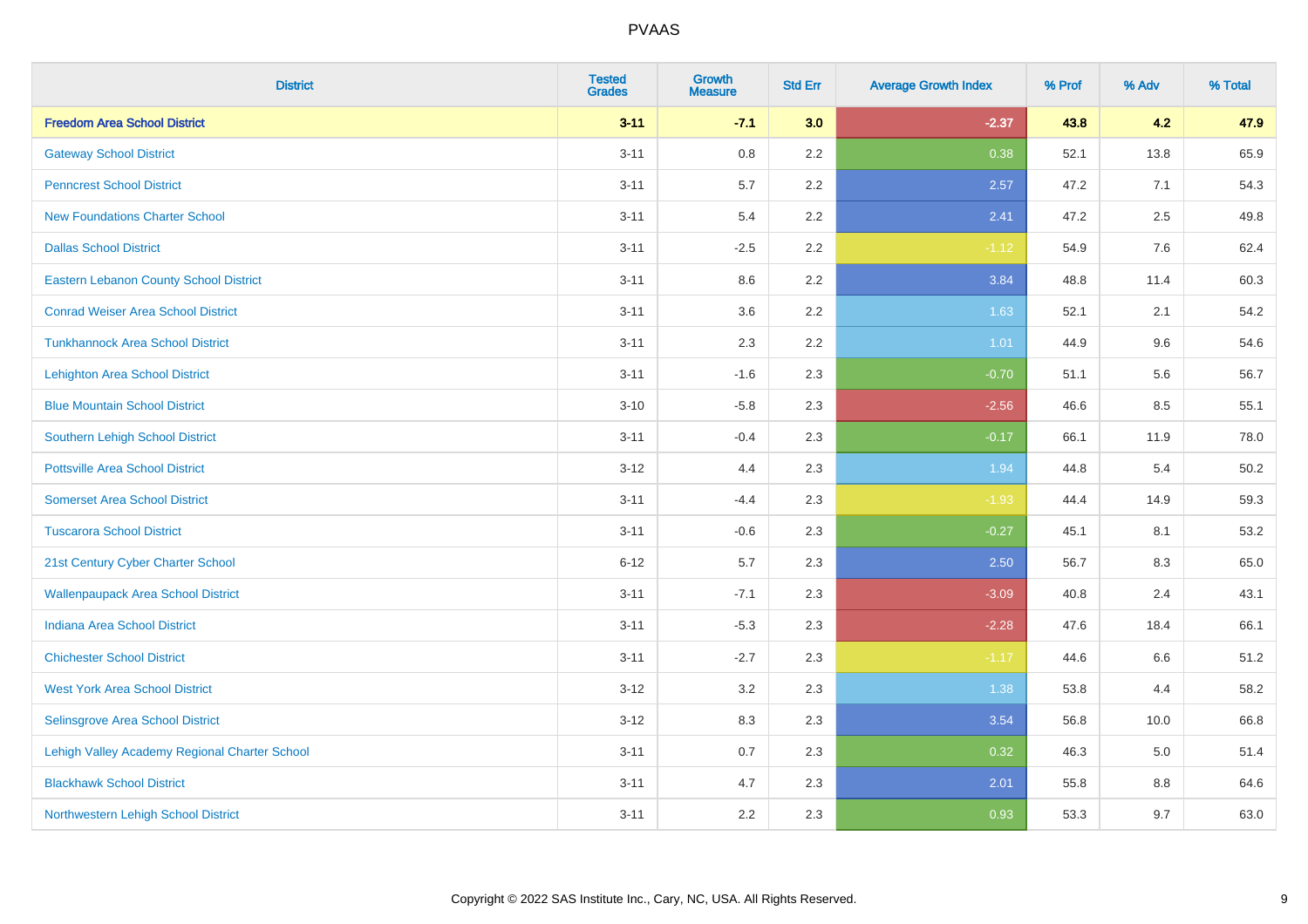| <b>District</b>                               | <b>Tested</b><br><b>Grades</b> | Growth<br><b>Measure</b> | <b>Std Err</b> | <b>Average Growth Index</b> | % Prof | % Adv   | % Total |
|-----------------------------------------------|--------------------------------|--------------------------|----------------|-----------------------------|--------|---------|---------|
| <b>Freedom Area School District</b>           | $3 - 11$                       | $-7.1$                   | 3.0            | $-2.37$                     | 43.8   | 4.2     | 47.9    |
| <b>Gateway School District</b>                | $3 - 11$                       | 0.8                      | 2.2            | 0.38                        | 52.1   | 13.8    | 65.9    |
| <b>Penncrest School District</b>              | $3 - 11$                       | 5.7                      | 2.2            | 2.57                        | 47.2   | 7.1     | 54.3    |
| <b>New Foundations Charter School</b>         | $3 - 11$                       | 5.4                      | 2.2            | 2.41                        | 47.2   | 2.5     | 49.8    |
| <b>Dallas School District</b>                 | $3 - 11$                       | $-2.5$                   | 2.2            | $-1.12$                     | 54.9   | 7.6     | 62.4    |
| <b>Eastern Lebanon County School District</b> | $3 - 11$                       | 8.6                      | 2.2            | 3.84                        | 48.8   | 11.4    | 60.3    |
| <b>Conrad Weiser Area School District</b>     | $3 - 11$                       | 3.6                      | 2.2            | 1.63                        | 52.1   | 2.1     | 54.2    |
| <b>Tunkhannock Area School District</b>       | $3 - 11$                       | 2.3                      | 2.2            | 1.01                        | 44.9   | 9.6     | 54.6    |
| <b>Lehighton Area School District</b>         | $3 - 11$                       | $-1.6$                   | 2.3            | $-0.70$                     | 51.1   | 5.6     | 56.7    |
| <b>Blue Mountain School District</b>          | $3 - 10$                       | $-5.8$                   | 2.3            | $-2.56$                     | 46.6   | 8.5     | 55.1    |
| Southern Lehigh School District               | $3 - 11$                       | $-0.4$                   | 2.3            | $-0.17$                     | 66.1   | 11.9    | 78.0    |
| <b>Pottsville Area School District</b>        | $3-12$                         | 4.4                      | 2.3            | 1.94                        | 44.8   | 5.4     | 50.2    |
| <b>Somerset Area School District</b>          | $3 - 11$                       | $-4.4$                   | 2.3            | $-1.93$                     | 44.4   | 14.9    | 59.3    |
| <b>Tuscarora School District</b>              | $3 - 11$                       | $-0.6$                   | 2.3            | $-0.27$                     | 45.1   | 8.1     | 53.2    |
| 21st Century Cyber Charter School             | $6 - 12$                       | 5.7                      | 2.3            | 2.50                        | 56.7   | 8.3     | 65.0    |
| <b>Wallenpaupack Area School District</b>     | $3 - 11$                       | $-7.1$                   | 2.3            | $-3.09$                     | 40.8   | 2.4     | 43.1    |
| <b>Indiana Area School District</b>           | $3 - 11$                       | $-5.3$                   | 2.3            | $-2.28$                     | 47.6   | 18.4    | 66.1    |
| <b>Chichester School District</b>             | $3 - 11$                       | $-2.7$                   | 2.3            | $-1.17$                     | 44.6   | 6.6     | 51.2    |
| <b>West York Area School District</b>         | $3-12$                         | 3.2                      | 2.3            | 1.38                        | 53.8   | 4.4     | 58.2    |
| Selinsgrove Area School District              | $3 - 12$                       | 8.3                      | 2.3            | 3.54                        | 56.8   | 10.0    | 66.8    |
| Lehigh Valley Academy Regional Charter School | $3 - 11$                       | 0.7                      | 2.3            | 0.32                        | 46.3   | 5.0     | 51.4    |
| <b>Blackhawk School District</b>              | $3 - 11$                       | 4.7                      | 2.3            | 2.01                        | 55.8   | $8.8\,$ | 64.6    |
| Northwestern Lehigh School District           | $3 - 11$                       | 2.2                      | 2.3            | 0.93                        | 53.3   | 9.7     | 63.0    |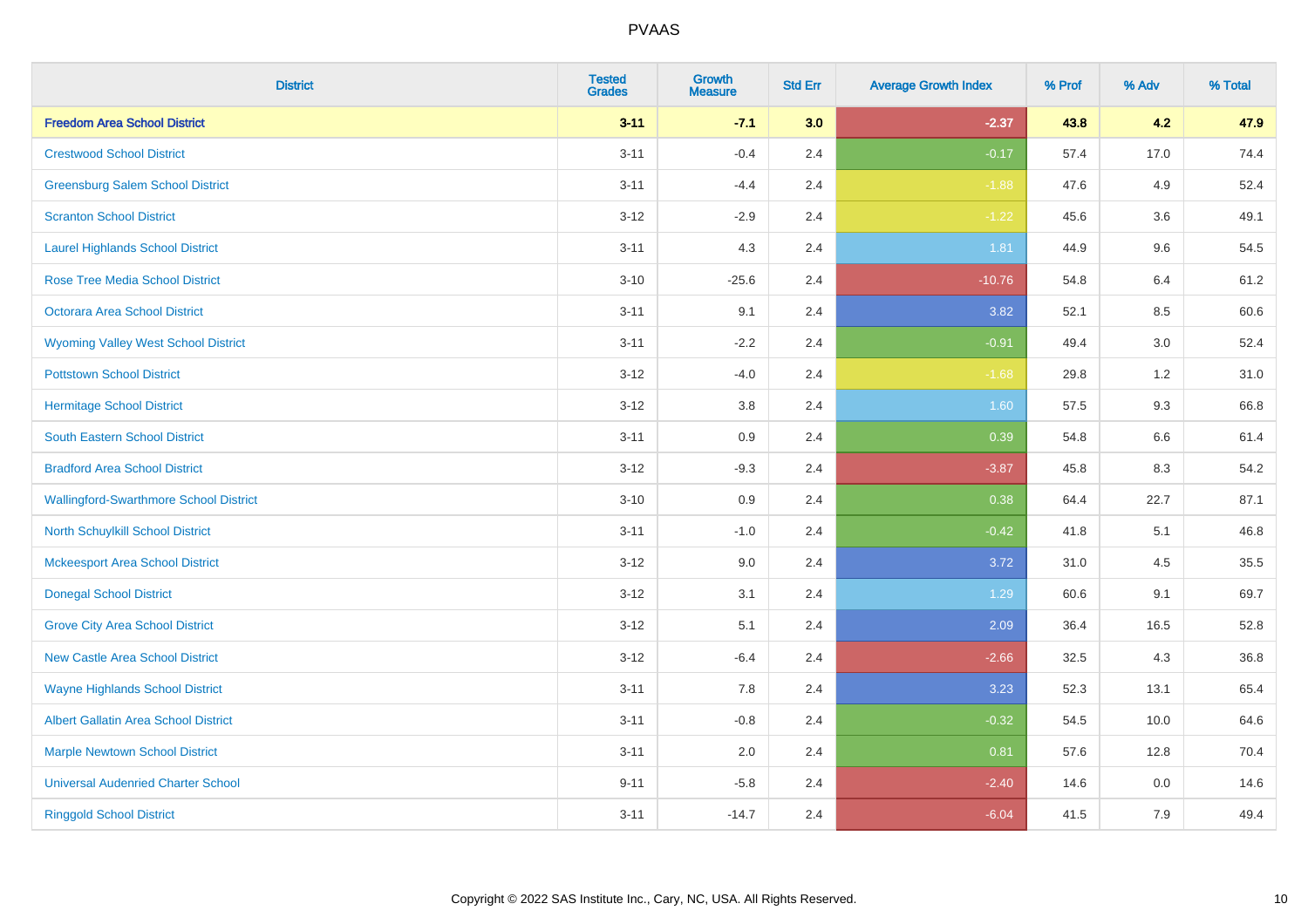| <b>District</b>                               | <b>Tested</b><br><b>Grades</b> | Growth<br><b>Measure</b> | <b>Std Err</b> | <b>Average Growth Index</b> | % Prof | % Adv   | % Total |
|-----------------------------------------------|--------------------------------|--------------------------|----------------|-----------------------------|--------|---------|---------|
| <b>Freedom Area School District</b>           | $3 - 11$                       | $-7.1$                   | 3.0            | $-2.37$                     | 43.8   | 4.2     | 47.9    |
| <b>Crestwood School District</b>              | $3 - 11$                       | $-0.4$                   | 2.4            | $-0.17$                     | 57.4   | 17.0    | 74.4    |
| <b>Greensburg Salem School District</b>       | $3 - 11$                       | $-4.4$                   | 2.4            | $-1.88$                     | 47.6   | 4.9     | 52.4    |
| <b>Scranton School District</b>               | $3 - 12$                       | $-2.9$                   | 2.4            | $-1.22$                     | 45.6   | 3.6     | 49.1    |
| <b>Laurel Highlands School District</b>       | $3 - 11$                       | 4.3                      | 2.4            | 1.81                        | 44.9   | 9.6     | 54.5    |
| <b>Rose Tree Media School District</b>        | $3 - 10$                       | $-25.6$                  | 2.4            | $-10.76$                    | 54.8   | 6.4     | 61.2    |
| Octorara Area School District                 | $3 - 11$                       | 9.1                      | 2.4            | 3.82                        | 52.1   | 8.5     | 60.6    |
| <b>Wyoming Valley West School District</b>    | $3 - 11$                       | $-2.2$                   | 2.4            | $-0.91$                     | 49.4   | 3.0     | 52.4    |
| <b>Pottstown School District</b>              | $3 - 12$                       | $-4.0$                   | 2.4            | $-1.68$                     | 29.8   | 1.2     | 31.0    |
| <b>Hermitage School District</b>              | $3 - 12$                       | 3.8                      | 2.4            | 1.60                        | 57.5   | 9.3     | 66.8    |
| South Eastern School District                 | $3 - 11$                       | 0.9                      | 2.4            | 0.39                        | 54.8   | 6.6     | 61.4    |
| <b>Bradford Area School District</b>          | $3-12$                         | $-9.3$                   | 2.4            | $-3.87$                     | 45.8   | 8.3     | 54.2    |
| <b>Wallingford-Swarthmore School District</b> | $3 - 10$                       | 0.9                      | 2.4            | 0.38                        | 64.4   | 22.7    | 87.1    |
| <b>North Schuylkill School District</b>       | $3 - 11$                       | $-1.0$                   | 2.4            | $-0.42$                     | 41.8   | 5.1     | 46.8    |
| <b>Mckeesport Area School District</b>        | $3 - 12$                       | 9.0                      | 2.4            | 3.72                        | 31.0   | 4.5     | 35.5    |
| <b>Donegal School District</b>                | $3 - 12$                       | 3.1                      | 2.4            | 1.29                        | 60.6   | 9.1     | 69.7    |
| <b>Grove City Area School District</b>        | $3 - 12$                       | 5.1                      | 2.4            | 2.09                        | 36.4   | 16.5    | 52.8    |
| <b>New Castle Area School District</b>        | $3 - 12$                       | $-6.4$                   | 2.4            | $-2.66$                     | 32.5   | 4.3     | 36.8    |
| <b>Wayne Highlands School District</b>        | $3 - 11$                       | 7.8                      | 2.4            | 3.23                        | 52.3   | 13.1    | 65.4    |
| Albert Gallatin Area School District          | $3 - 11$                       | $-0.8$                   | 2.4            | $-0.32$                     | 54.5   | 10.0    | 64.6    |
| <b>Marple Newtown School District</b>         | $3 - 11$                       | 2.0                      | 2.4            | 0.81                        | 57.6   | 12.8    | 70.4    |
| <b>Universal Audenried Charter School</b>     | $9 - 11$                       | $-5.8$                   | 2.4            | $-2.40$                     | 14.6   | $0.0\,$ | 14.6    |
| <b>Ringgold School District</b>               | $3 - 11$                       | $-14.7$                  | 2.4            | $-6.04$                     | 41.5   | 7.9     | 49.4    |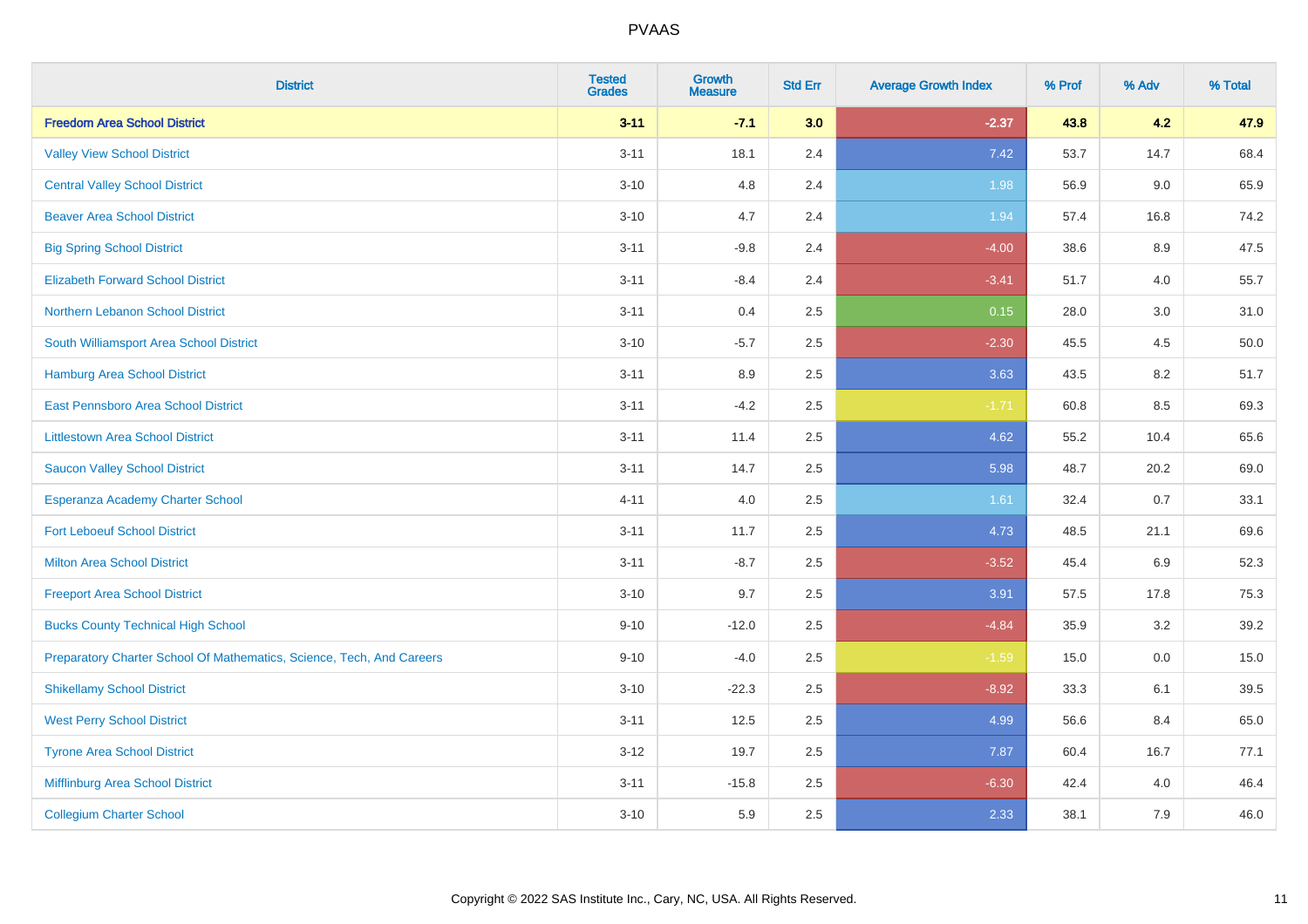| <b>District</b>                                                       | <b>Tested</b><br><b>Grades</b> | <b>Growth</b><br><b>Measure</b> | <b>Std Err</b> | <b>Average Growth Index</b> | % Prof | % Adv   | % Total |
|-----------------------------------------------------------------------|--------------------------------|---------------------------------|----------------|-----------------------------|--------|---------|---------|
| <b>Freedom Area School District</b>                                   | $3 - 11$                       | $-7.1$                          | 3.0            | $-2.37$                     | 43.8   | 4.2     | 47.9    |
| <b>Valley View School District</b>                                    | $3 - 11$                       | 18.1                            | 2.4            | 7.42                        | 53.7   | 14.7    | 68.4    |
| <b>Central Valley School District</b>                                 | $3 - 10$                       | 4.8                             | 2.4            | 1.98                        | 56.9   | 9.0     | 65.9    |
| <b>Beaver Area School District</b>                                    | $3 - 10$                       | 4.7                             | 2.4            | 1.94                        | 57.4   | 16.8    | 74.2    |
| <b>Big Spring School District</b>                                     | $3 - 11$                       | $-9.8$                          | 2.4            | $-4.00$                     | 38.6   | 8.9     | 47.5    |
| <b>Elizabeth Forward School District</b>                              | $3 - 11$                       | $-8.4$                          | 2.4            | $-3.41$                     | 51.7   | 4.0     | 55.7    |
| Northern Lebanon School District                                      | $3 - 11$                       | 0.4                             | 2.5            | 0.15                        | 28.0   | 3.0     | 31.0    |
| South Williamsport Area School District                               | $3 - 10$                       | $-5.7$                          | 2.5            | $-2.30$                     | 45.5   | 4.5     | 50.0    |
| Hamburg Area School District                                          | $3 - 11$                       | 8.9                             | 2.5            | 3.63                        | 43.5   | 8.2     | 51.7    |
| East Pennsboro Area School District                                   | $3 - 11$                       | $-4.2$                          | 2.5            | $-1.71$                     | 60.8   | 8.5     | 69.3    |
| <b>Littlestown Area School District</b>                               | $3 - 11$                       | 11.4                            | 2.5            | 4.62                        | 55.2   | 10.4    | 65.6    |
| <b>Saucon Valley School District</b>                                  | $3 - 11$                       | 14.7                            | 2.5            | 5.98                        | 48.7   | 20.2    | 69.0    |
| Esperanza Academy Charter School                                      | $4 - 11$                       | 4.0                             | 2.5            | 1.61                        | 32.4   | 0.7     | 33.1    |
| <b>Fort Leboeuf School District</b>                                   | $3 - 11$                       | 11.7                            | 2.5            | 4.73                        | 48.5   | 21.1    | 69.6    |
| <b>Milton Area School District</b>                                    | $3 - 11$                       | $-8.7$                          | 2.5            | $-3.52$                     | 45.4   | 6.9     | 52.3    |
| <b>Freeport Area School District</b>                                  | $3 - 10$                       | 9.7                             | 2.5            | 3.91                        | 57.5   | 17.8    | 75.3    |
| <b>Bucks County Technical High School</b>                             | $9 - 10$                       | $-12.0$                         | 2.5            | $-4.84$                     | 35.9   | $3.2\,$ | 39.2    |
| Preparatory Charter School Of Mathematics, Science, Tech, And Careers | $9 - 10$                       | $-4.0$                          | 2.5            | $-1.59$                     | 15.0   | 0.0     | 15.0    |
| <b>Shikellamy School District</b>                                     | $3 - 10$                       | $-22.3$                         | 2.5            | $-8.92$                     | 33.3   | 6.1     | 39.5    |
| <b>West Perry School District</b>                                     | $3 - 11$                       | 12.5                            | 2.5            | 4.99                        | 56.6   | 8.4     | 65.0    |
| <b>Tyrone Area School District</b>                                    | $3 - 12$                       | 19.7                            | 2.5            | 7.87                        | 60.4   | 16.7    | 77.1    |
| Mifflinburg Area School District                                      | $3 - 11$                       | $-15.8$                         | 2.5            | $-6.30$                     | 42.4   | 4.0     | 46.4    |
| <b>Collegium Charter School</b>                                       | $3 - 10$                       | 5.9                             | 2.5            | 2.33                        | 38.1   | 7.9     | 46.0    |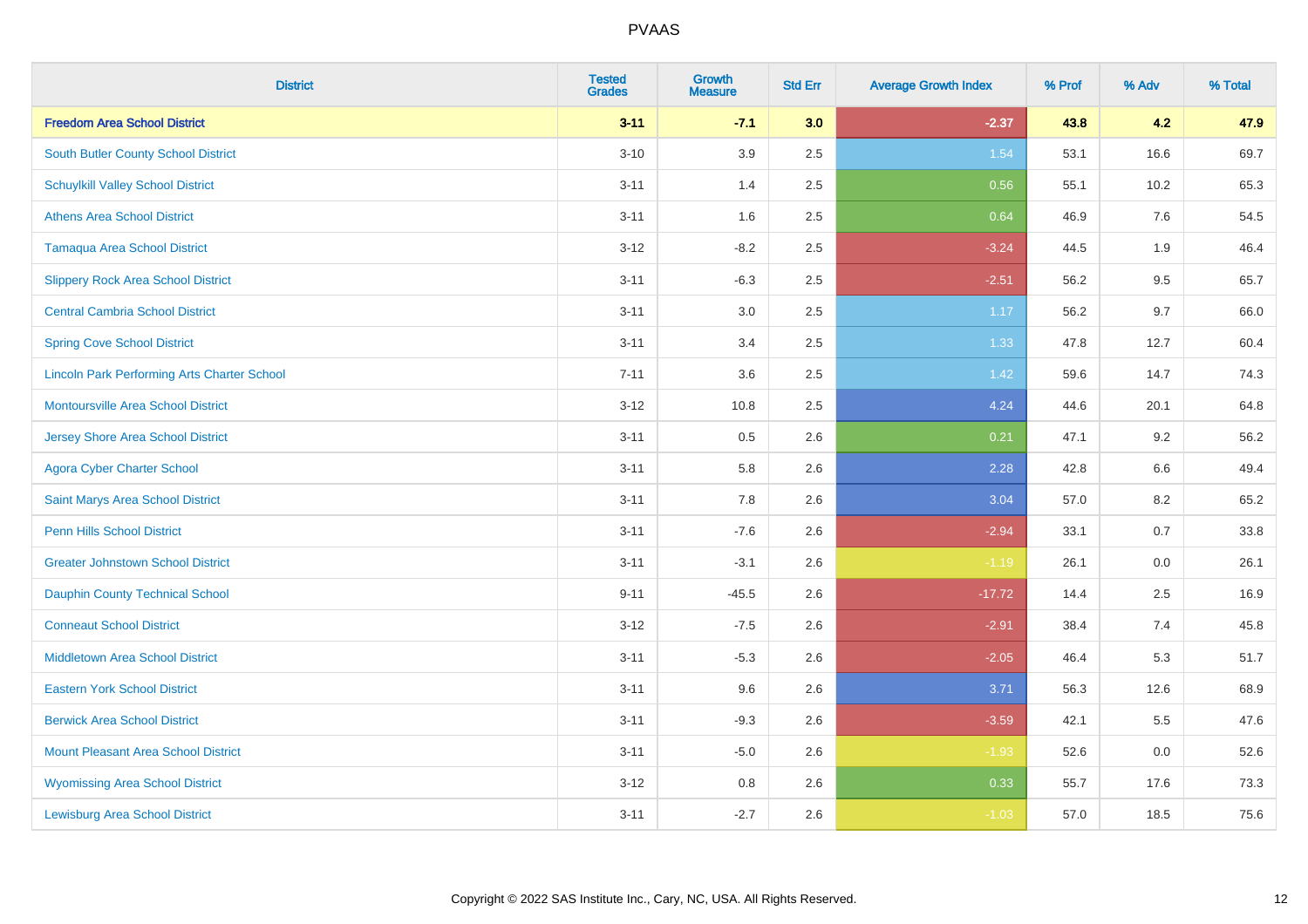| <b>District</b>                                    | <b>Tested</b><br><b>Grades</b> | <b>Growth</b><br><b>Measure</b> | <b>Std Err</b> | <b>Average Growth Index</b> | % Prof | % Adv   | % Total |
|----------------------------------------------------|--------------------------------|---------------------------------|----------------|-----------------------------|--------|---------|---------|
| <b>Freedom Area School District</b>                | $3 - 11$                       | $-7.1$                          | 3.0            | $-2.37$                     | 43.8   | 4.2     | 47.9    |
| South Butler County School District                | $3 - 10$                       | 3.9                             | 2.5            | 1.54                        | 53.1   | 16.6    | 69.7    |
| <b>Schuylkill Valley School District</b>           | $3 - 11$                       | 1.4                             | 2.5            | 0.56                        | 55.1   | 10.2    | 65.3    |
| <b>Athens Area School District</b>                 | $3 - 11$                       | 1.6                             | 2.5            | 0.64                        | 46.9   | 7.6     | 54.5    |
| <b>Tamaqua Area School District</b>                | $3 - 12$                       | $-8.2$                          | 2.5            | $-3.24$                     | 44.5   | 1.9     | 46.4    |
| <b>Slippery Rock Area School District</b>          | $3 - 11$                       | $-6.3$                          | 2.5            | $-2.51$                     | 56.2   | 9.5     | 65.7    |
| <b>Central Cambria School District</b>             | $3 - 11$                       | 3.0                             | 2.5            | 1.17                        | 56.2   | 9.7     | 66.0    |
| <b>Spring Cove School District</b>                 | $3 - 11$                       | 3.4                             | 2.5            | 1.33                        | 47.8   | 12.7    | 60.4    |
| <b>Lincoln Park Performing Arts Charter School</b> | $7 - 11$                       | 3.6                             | 2.5            | 1.42                        | 59.6   | 14.7    | 74.3    |
| <b>Montoursville Area School District</b>          | $3 - 12$                       | 10.8                            | 2.5            | 4.24                        | 44.6   | 20.1    | 64.8    |
| Jersey Shore Area School District                  | $3 - 11$                       | 0.5                             | 2.6            | 0.21                        | 47.1   | 9.2     | 56.2    |
| <b>Agora Cyber Charter School</b>                  | $3 - 11$                       | 5.8                             | 2.6            | 2.28                        | 42.8   | 6.6     | 49.4    |
| Saint Marys Area School District                   | $3 - 11$                       | $7.8\,$                         | 2.6            | 3.04                        | 57.0   | $8.2\,$ | 65.2    |
| Penn Hills School District                         | $3 - 11$                       | $-7.6$                          | 2.6            | $-2.94$                     | 33.1   | 0.7     | 33.8    |
| <b>Greater Johnstown School District</b>           | $3 - 11$                       | $-3.1$                          | 2.6            | $-1.19$                     | 26.1   | $0.0\,$ | 26.1    |
| Dauphin County Technical School                    | $9 - 11$                       | $-45.5$                         | 2.6            | $-17.72$                    | 14.4   | 2.5     | 16.9    |
| <b>Conneaut School District</b>                    | $3 - 12$                       | $-7.5$                          | 2.6            | $-2.91$                     | 38.4   | 7.4     | 45.8    |
| <b>Middletown Area School District</b>             | $3 - 11$                       | $-5.3$                          | 2.6            | $-2.05$                     | 46.4   | 5.3     | 51.7    |
| <b>Eastern York School District</b>                | $3 - 11$                       | 9.6                             | 2.6            | 3.71                        | 56.3   | 12.6    | 68.9    |
| <b>Berwick Area School District</b>                | $3 - 11$                       | $-9.3$                          | 2.6            | $-3.59$                     | 42.1   | 5.5     | 47.6    |
| <b>Mount Pleasant Area School District</b>         | $3 - 11$                       | $-5.0$                          | 2.6            | $-1.93$                     | 52.6   | 0.0     | 52.6    |
| <b>Wyomissing Area School District</b>             | $3 - 12$                       | 0.8                             | 2.6            | 0.33                        | 55.7   | 17.6    | 73.3    |
| <b>Lewisburg Area School District</b>              | $3 - 11$                       | $-2.7$                          | 2.6            | $-1.03$                     | 57.0   | 18.5    | 75.6    |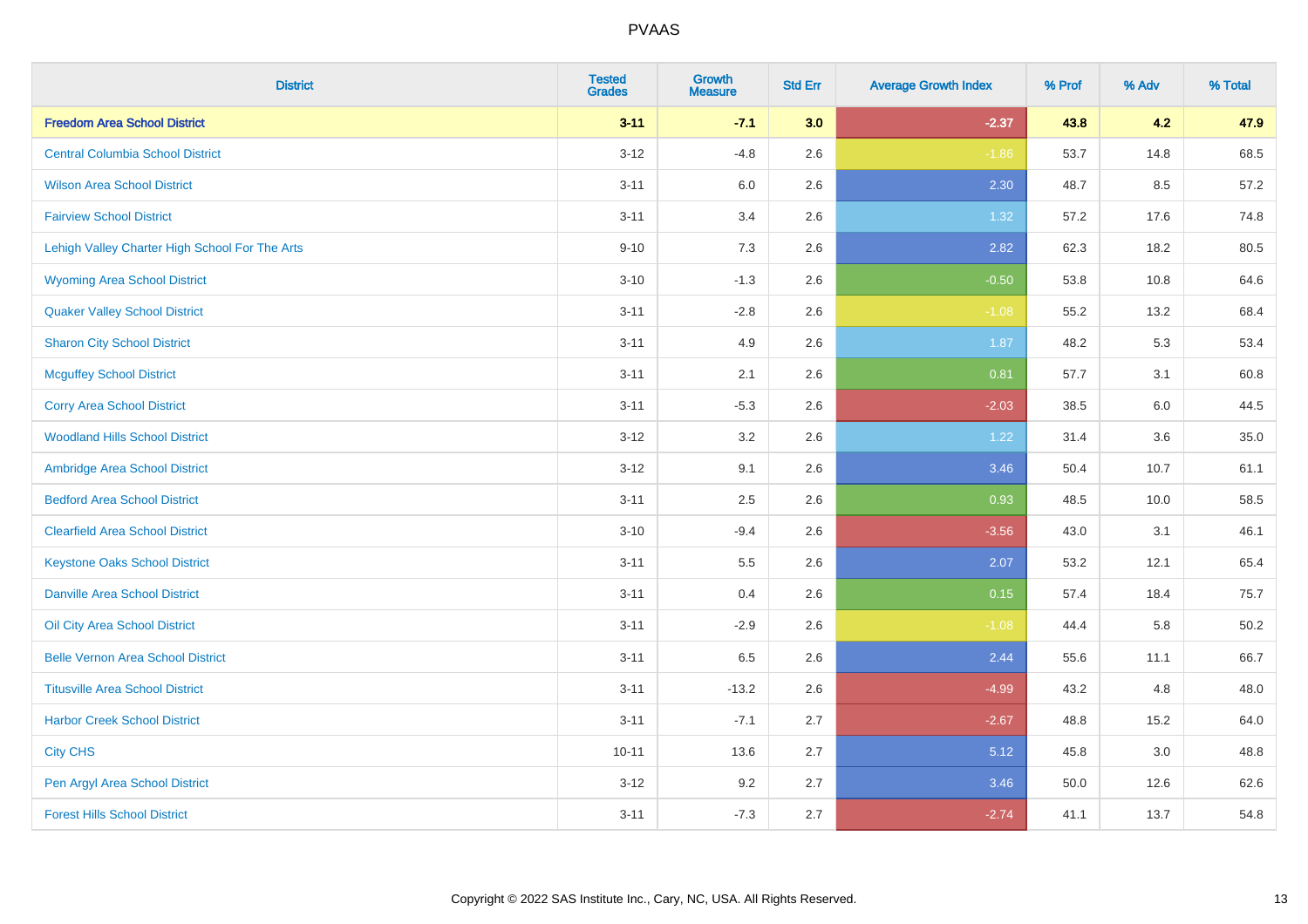| <b>District</b>                                | <b>Tested</b><br><b>Grades</b> | <b>Growth</b><br><b>Measure</b> | <b>Std Err</b> | <b>Average Growth Index</b> | % Prof | % Adv | % Total |
|------------------------------------------------|--------------------------------|---------------------------------|----------------|-----------------------------|--------|-------|---------|
| <b>Freedom Area School District</b>            | $3 - 11$                       | $-7.1$                          | 3.0            | $-2.37$                     | 43.8   | 4.2   | 47.9    |
| <b>Central Columbia School District</b>        | $3 - 12$                       | $-4.8$                          | 2.6            | $-1.86$                     | 53.7   | 14.8  | 68.5    |
| <b>Wilson Area School District</b>             | $3 - 11$                       | 6.0                             | 2.6            | 2.30                        | 48.7   | 8.5   | 57.2    |
| <b>Fairview School District</b>                | $3 - 11$                       | 3.4                             | 2.6            | 1.32                        | 57.2   | 17.6  | 74.8    |
| Lehigh Valley Charter High School For The Arts | $9 - 10$                       | 7.3                             | 2.6            | 2.82                        | 62.3   | 18.2  | 80.5    |
| <b>Wyoming Area School District</b>            | $3 - 10$                       | $-1.3$                          | 2.6            | $-0.50$                     | 53.8   | 10.8  | 64.6    |
| <b>Quaker Valley School District</b>           | $3 - 11$                       | $-2.8$                          | 2.6            | $-1.08$                     | 55.2   | 13.2  | 68.4    |
| <b>Sharon City School District</b>             | $3 - 11$                       | 4.9                             | 2.6            | 1.87                        | 48.2   | 5.3   | 53.4    |
| <b>Mcguffey School District</b>                | $3 - 11$                       | 2.1                             | 2.6            | 0.81                        | 57.7   | 3.1   | 60.8    |
| <b>Corry Area School District</b>              | $3 - 11$                       | $-5.3$                          | 2.6            | $-2.03$                     | 38.5   | 6.0   | 44.5    |
| <b>Woodland Hills School District</b>          | $3-12$                         | 3.2                             | 2.6            | 1.22                        | 31.4   | 3.6   | 35.0    |
| Ambridge Area School District                  | $3 - 12$                       | 9.1                             | 2.6            | 3.46                        | 50.4   | 10.7  | 61.1    |
| <b>Bedford Area School District</b>            | $3 - 11$                       | 2.5                             | 2.6            | 0.93                        | 48.5   | 10.0  | 58.5    |
| <b>Clearfield Area School District</b>         | $3 - 10$                       | $-9.4$                          | 2.6            | $-3.56$                     | 43.0   | 3.1   | 46.1    |
| <b>Keystone Oaks School District</b>           | $3 - 11$                       | $5.5\,$                         | 2.6            | 2.07                        | 53.2   | 12.1  | 65.4    |
| <b>Danville Area School District</b>           | $3 - 11$                       | 0.4                             | 2.6            | 0.15                        | 57.4   | 18.4  | 75.7    |
| <b>Oil City Area School District</b>           | $3 - 11$                       | $-2.9$                          | 2.6            | $-1.08$                     | 44.4   | 5.8   | 50.2    |
| <b>Belle Vernon Area School District</b>       | $3 - 11$                       | 6.5                             | 2.6            | 2.44                        | 55.6   | 11.1  | 66.7    |
| <b>Titusville Area School District</b>         | $3 - 11$                       | $-13.2$                         | 2.6            | $-4.99$                     | 43.2   | 4.8   | 48.0    |
| <b>Harbor Creek School District</b>            | $3 - 11$                       | $-7.1$                          | 2.7            | $-2.67$                     | 48.8   | 15.2  | 64.0    |
| <b>City CHS</b>                                | $10 - 11$                      | 13.6                            | 2.7            | 5.12                        | 45.8   | 3.0   | 48.8    |
| Pen Argyl Area School District                 | $3 - 12$                       | 9.2                             | 2.7            | 3.46                        | 50.0   | 12.6  | 62.6    |
| <b>Forest Hills School District</b>            | $3 - 11$                       | $-7.3$                          | 2.7            | $-2.74$                     | 41.1   | 13.7  | 54.8    |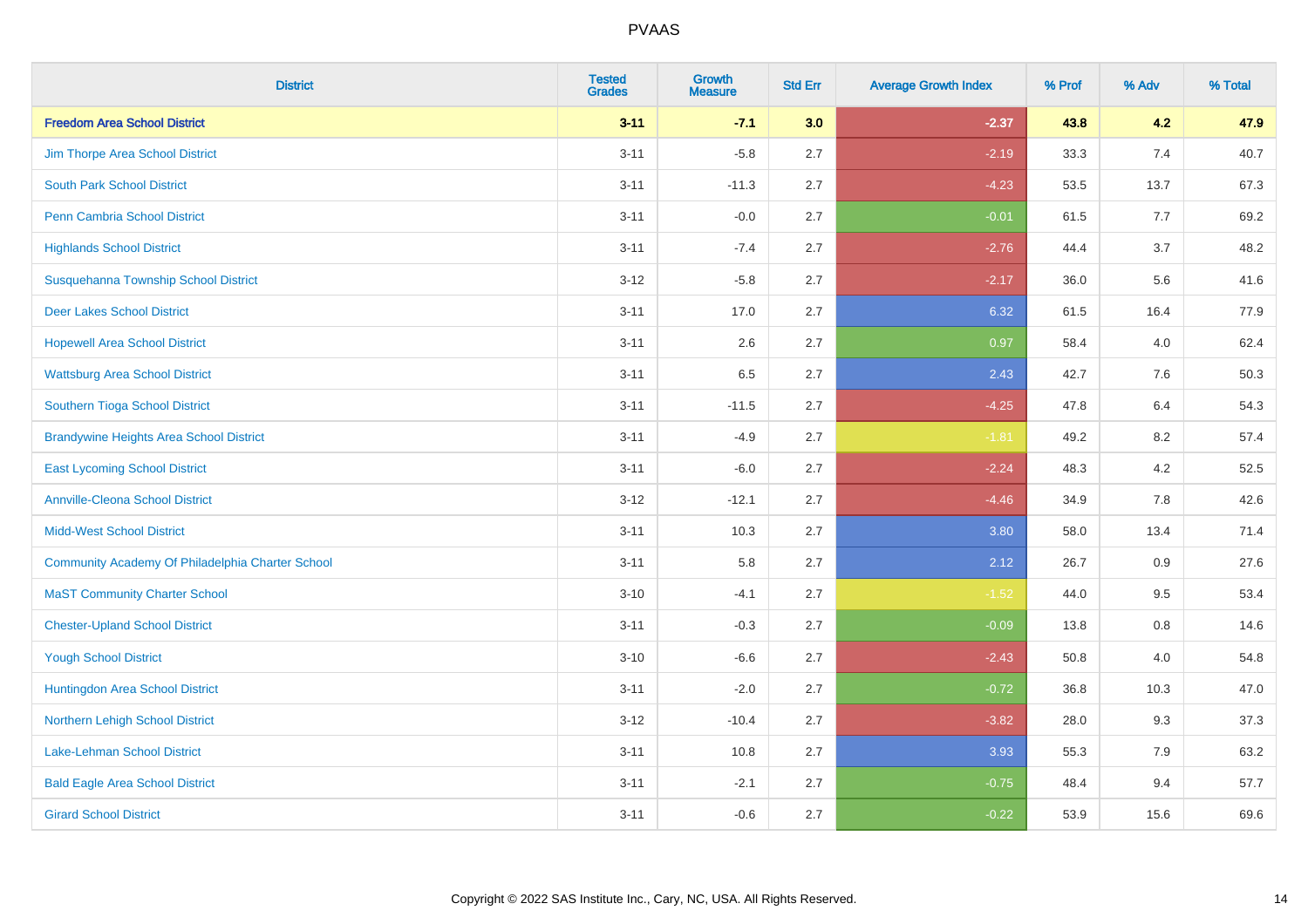| <b>District</b>                                  | <b>Tested</b><br><b>Grades</b> | Growth<br><b>Measure</b> | <b>Std Err</b> | <b>Average Growth Index</b> | % Prof | % Adv | % Total |
|--------------------------------------------------|--------------------------------|--------------------------|----------------|-----------------------------|--------|-------|---------|
| <b>Freedom Area School District</b>              | $3 - 11$                       | $-7.1$                   | 3.0            | $-2.37$                     | 43.8   | 4.2   | 47.9    |
| Jim Thorpe Area School District                  | $3 - 11$                       | $-5.8$                   | 2.7            | $-2.19$                     | 33.3   | 7.4   | 40.7    |
| <b>South Park School District</b>                | $3 - 11$                       | $-11.3$                  | 2.7            | $-4.23$                     | 53.5   | 13.7  | 67.3    |
| <b>Penn Cambria School District</b>              | $3 - 11$                       | $-0.0$                   | 2.7            | $-0.01$                     | 61.5   | 7.7   | 69.2    |
| <b>Highlands School District</b>                 | $3 - 11$                       | $-7.4$                   | 2.7            | $-2.76$                     | 44.4   | 3.7   | 48.2    |
| Susquehanna Township School District             | $3 - 12$                       | $-5.8$                   | 2.7            | $-2.17$                     | 36.0   | 5.6   | 41.6    |
| <b>Deer Lakes School District</b>                | $3 - 11$                       | 17.0                     | 2.7            | 6.32                        | 61.5   | 16.4  | 77.9    |
| <b>Hopewell Area School District</b>             | $3 - 11$                       | 2.6                      | 2.7            | 0.97                        | 58.4   | 4.0   | 62.4    |
| <b>Wattsburg Area School District</b>            | $3 - 11$                       | 6.5                      | 2.7            | 2.43                        | 42.7   | 7.6   | 50.3    |
| Southern Tioga School District                   | $3 - 11$                       | $-11.5$                  | 2.7            | $-4.25$                     | 47.8   | 6.4   | 54.3    |
| <b>Brandywine Heights Area School District</b>   | $3 - 11$                       | $-4.9$                   | 2.7            | $-1.81$                     | 49.2   | 8.2   | 57.4    |
| <b>East Lycoming School District</b>             | $3 - 11$                       | $-6.0$                   | 2.7            | $-2.24$                     | 48.3   | 4.2   | 52.5    |
| <b>Annville-Cleona School District</b>           | $3 - 12$                       | $-12.1$                  | 2.7            | $-4.46$                     | 34.9   | 7.8   | 42.6    |
| <b>Midd-West School District</b>                 | $3 - 11$                       | 10.3                     | 2.7            | 3.80                        | 58.0   | 13.4  | 71.4    |
| Community Academy Of Philadelphia Charter School | $3 - 11$                       | 5.8                      | 2.7            | 2.12                        | 26.7   | 0.9   | 27.6    |
| <b>MaST Community Charter School</b>             | $3 - 10$                       | $-4.1$                   | 2.7            | $-1.52$                     | 44.0   | 9.5   | 53.4    |
| <b>Chester-Upland School District</b>            | $3 - 11$                       | $-0.3$                   | 2.7            | $-0.09$                     | 13.8   | 0.8   | 14.6    |
| <b>Yough School District</b>                     | $3 - 10$                       | $-6.6$                   | 2.7            | $-2.43$                     | 50.8   | 4.0   | 54.8    |
| Huntingdon Area School District                  | $3 - 11$                       | $-2.0$                   | 2.7            | $-0.72$                     | 36.8   | 10.3  | 47.0    |
| Northern Lehigh School District                  | $3 - 12$                       | $-10.4$                  | 2.7            | $-3.82$                     | 28.0   | 9.3   | 37.3    |
| Lake-Lehman School District                      | $3 - 11$                       | 10.8                     | 2.7            | 3.93                        | 55.3   | 7.9   | 63.2    |
| <b>Bald Eagle Area School District</b>           | $3 - 11$                       | $-2.1$                   | 2.7            | $-0.75$                     | 48.4   | 9.4   | 57.7    |
| <b>Girard School District</b>                    | $3 - 11$                       | $-0.6$                   | 2.7            | $-0.22$                     | 53.9   | 15.6  | 69.6    |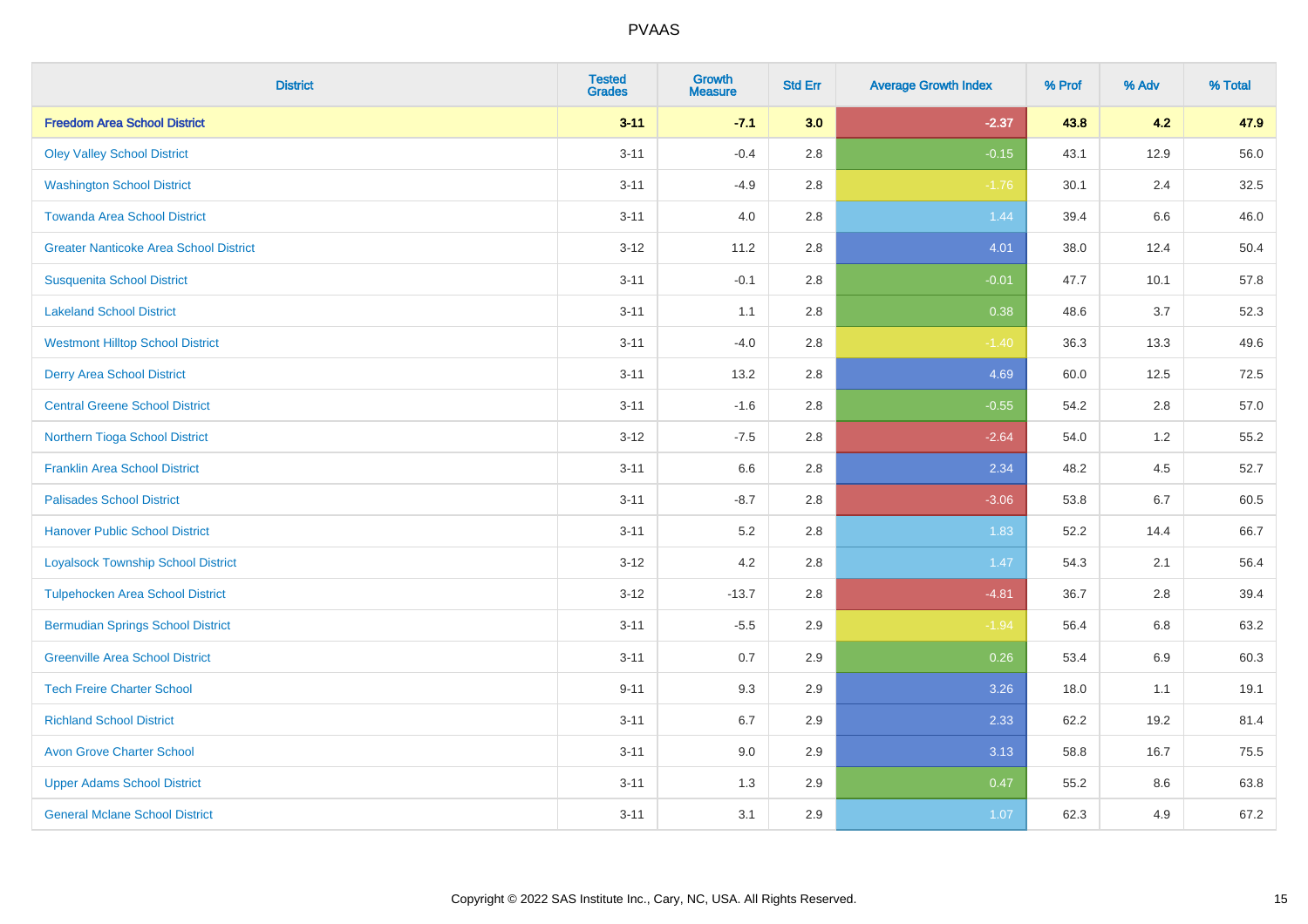| <b>District</b>                               | <b>Tested</b><br><b>Grades</b> | <b>Growth</b><br><b>Measure</b> | <b>Std Err</b> | <b>Average Growth Index</b> | % Prof | % Adv | % Total |
|-----------------------------------------------|--------------------------------|---------------------------------|----------------|-----------------------------|--------|-------|---------|
| <b>Freedom Area School District</b>           | $3 - 11$                       | $-7.1$                          | 3.0            | $-2.37$                     | 43.8   | 4.2   | 47.9    |
| <b>Oley Valley School District</b>            | $3 - 11$                       | $-0.4$                          | $2.8\,$        | $-0.15$                     | 43.1   | 12.9  | 56.0    |
| <b>Washington School District</b>             | $3 - 11$                       | $-4.9$                          | 2.8            | $-1.76$                     | 30.1   | 2.4   | 32.5    |
| <b>Towanda Area School District</b>           | $3 - 11$                       | 4.0                             | $2.8\,$        | 1.44                        | 39.4   | 6.6   | 46.0    |
| <b>Greater Nanticoke Area School District</b> | $3-12$                         | 11.2                            | 2.8            | 4.01                        | 38.0   | 12.4  | 50.4    |
| <b>Susquenita School District</b>             | $3 - 11$                       | $-0.1$                          | 2.8            | $-0.01$                     | 47.7   | 10.1  | 57.8    |
| <b>Lakeland School District</b>               | $3 - 11$                       | 1.1                             | 2.8            | 0.38                        | 48.6   | 3.7   | 52.3    |
| <b>Westmont Hilltop School District</b>       | $3 - 11$                       | $-4.0$                          | $2.8\,$        | $-1.40$                     | 36.3   | 13.3  | 49.6    |
| <b>Derry Area School District</b>             | $3 - 11$                       | 13.2                            | 2.8            | 4.69                        | 60.0   | 12.5  | 72.5    |
| <b>Central Greene School District</b>         | $3 - 11$                       | $-1.6$                          | 2.8            | $-0.55$                     | 54.2   | 2.8   | 57.0    |
| Northern Tioga School District                | $3 - 12$                       | $-7.5$                          | 2.8            | $-2.64$                     | 54.0   | $1.2$ | 55.2    |
| <b>Franklin Area School District</b>          | $3 - 11$                       | 6.6                             | 2.8            | 2.34                        | 48.2   | 4.5   | 52.7    |
| <b>Palisades School District</b>              | $3 - 11$                       | $-8.7$                          | $2.8\,$        | $-3.06$                     | 53.8   | 6.7   | 60.5    |
| <b>Hanover Public School District</b>         | $3 - 11$                       | 5.2                             | 2.8            | 1.83                        | 52.2   | 14.4  | 66.7    |
| <b>Loyalsock Township School District</b>     | $3 - 12$                       | 4.2                             | 2.8            | 1.47                        | 54.3   | 2.1   | 56.4    |
| <b>Tulpehocken Area School District</b>       | $3 - 12$                       | $-13.7$                         | $2.8\,$        | $-4.81$                     | 36.7   | 2.8   | 39.4    |
| <b>Bermudian Springs School District</b>      | $3 - 11$                       | $-5.5$                          | 2.9            | $-1.94$                     | 56.4   | 6.8   | 63.2    |
| <b>Greenville Area School District</b>        | $3 - 11$                       | 0.7                             | 2.9            | 0.26                        | 53.4   | 6.9   | 60.3    |
| <b>Tech Freire Charter School</b>             | $9 - 11$                       | 9.3                             | 2.9            | 3.26                        | 18.0   | 1.1   | 19.1    |
| <b>Richland School District</b>               | $3 - 11$                       | 6.7                             | 2.9            | 2.33                        | 62.2   | 19.2  | 81.4    |
| <b>Avon Grove Charter School</b>              | $3 - 11$                       | 9.0                             | 2.9            | 3.13                        | 58.8   | 16.7  | 75.5    |
| <b>Upper Adams School District</b>            | $3 - 11$                       | 1.3                             | 2.9            | 0.47                        | 55.2   | 8.6   | 63.8    |
| <b>General Mclane School District</b>         | $3 - 11$                       | 3.1                             | 2.9            | 1.07                        | 62.3   | 4.9   | 67.2    |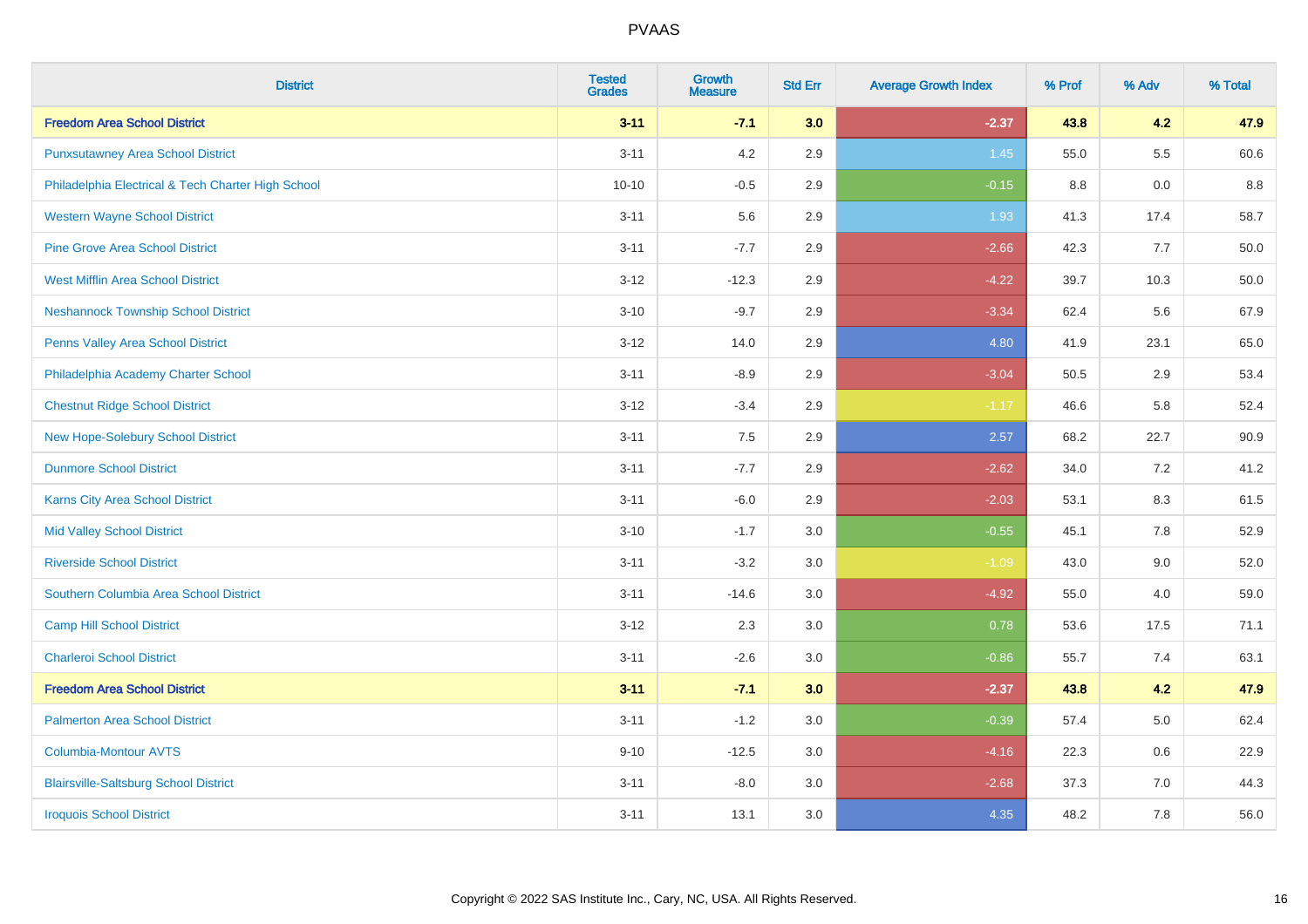| <b>District</b>                                    | <b>Tested</b><br><b>Grades</b> | <b>Growth</b><br><b>Measure</b> | <b>Std Err</b> | <b>Average Growth Index</b> | % Prof | % Adv   | % Total |
|----------------------------------------------------|--------------------------------|---------------------------------|----------------|-----------------------------|--------|---------|---------|
| <b>Freedom Area School District</b>                | $3 - 11$                       | $-7.1$                          | 3.0            | $-2.37$                     | 43.8   | 4.2     | 47.9    |
| <b>Punxsutawney Area School District</b>           | $3 - 11$                       | 4.2                             | 2.9            | 1.45                        | 55.0   | 5.5     | 60.6    |
| Philadelphia Electrical & Tech Charter High School | $10 - 10$                      | $-0.5$                          | 2.9            | $-0.15$                     | 8.8    | 0.0     | 8.8     |
| <b>Western Wayne School District</b>               | $3 - 11$                       | 5.6                             | 2.9            | 1.93                        | 41.3   | 17.4    | 58.7    |
| <b>Pine Grove Area School District</b>             | $3 - 11$                       | $-7.7$                          | 2.9            | $-2.66$                     | 42.3   | 7.7     | 50.0    |
| <b>West Mifflin Area School District</b>           | $3 - 12$                       | $-12.3$                         | 2.9            | $-4.22$                     | 39.7   | 10.3    | 50.0    |
| <b>Neshannock Township School District</b>         | $3 - 10$                       | $-9.7$                          | 2.9            | $-3.34$                     | 62.4   | 5.6     | 67.9    |
| <b>Penns Valley Area School District</b>           | $3 - 12$                       | 14.0                            | 2.9            | 4.80                        | 41.9   | 23.1    | 65.0    |
| Philadelphia Academy Charter School                | $3 - 11$                       | $-8.9$                          | 2.9            | $-3.04$                     | 50.5   | 2.9     | 53.4    |
| <b>Chestnut Ridge School District</b>              | $3 - 12$                       | $-3.4$                          | $2.9\,$        | $-1.17$                     | 46.6   | 5.8     | 52.4    |
| New Hope-Solebury School District                  | $3 - 11$                       | 7.5                             | 2.9            | 2.57                        | 68.2   | 22.7    | 90.9    |
| <b>Dunmore School District</b>                     | $3 - 11$                       | $-7.7$                          | 2.9            | $-2.62$                     | 34.0   | 7.2     | 41.2    |
| <b>Karns City Area School District</b>             | $3 - 11$                       | $-6.0$                          | 2.9            | $-2.03$                     | 53.1   | 8.3     | 61.5    |
| <b>Mid Valley School District</b>                  | $3 - 10$                       | $-1.7$                          | 3.0            | $-0.55$                     | 45.1   | $7.8\,$ | 52.9    |
| <b>Riverside School District</b>                   | $3 - 11$                       | $-3.2$                          | 3.0            | $-1.09$                     | 43.0   | 9.0     | 52.0    |
| Southern Columbia Area School District             | $3 - 11$                       | $-14.6$                         | 3.0            | $-4.92$                     | 55.0   | 4.0     | 59.0    |
| <b>Camp Hill School District</b>                   | $3 - 12$                       | 2.3                             | 3.0            | 0.78                        | 53.6   | 17.5    | 71.1    |
| <b>Charleroi School District</b>                   | $3 - 11$                       | $-2.6$                          | 3.0            | $-0.86$                     | 55.7   | 7.4     | 63.1    |
| <b>Freedom Area School District</b>                | $3 - 11$                       | $-7.1$                          | 3.0            | $-2.37$                     | 43.8   | 4.2     | 47.9    |
| <b>Palmerton Area School District</b>              | $3 - 11$                       | $-1.2$                          | 3.0            | $-0.39$                     | 57.4   | $5.0\,$ | 62.4    |
| Columbia-Montour AVTS                              | $9 - 10$                       | $-12.5$                         | 3.0            | $-4.16$                     | 22.3   | 0.6     | 22.9    |
| <b>Blairsville-Saltsburg School District</b>       | $3 - 11$                       | $-8.0$                          | 3.0            | $-2.68$                     | 37.3   | 7.0     | 44.3    |
| <b>Iroquois School District</b>                    | $3 - 11$                       | 13.1                            | 3.0            | 4.35                        | 48.2   | 7.8     | 56.0    |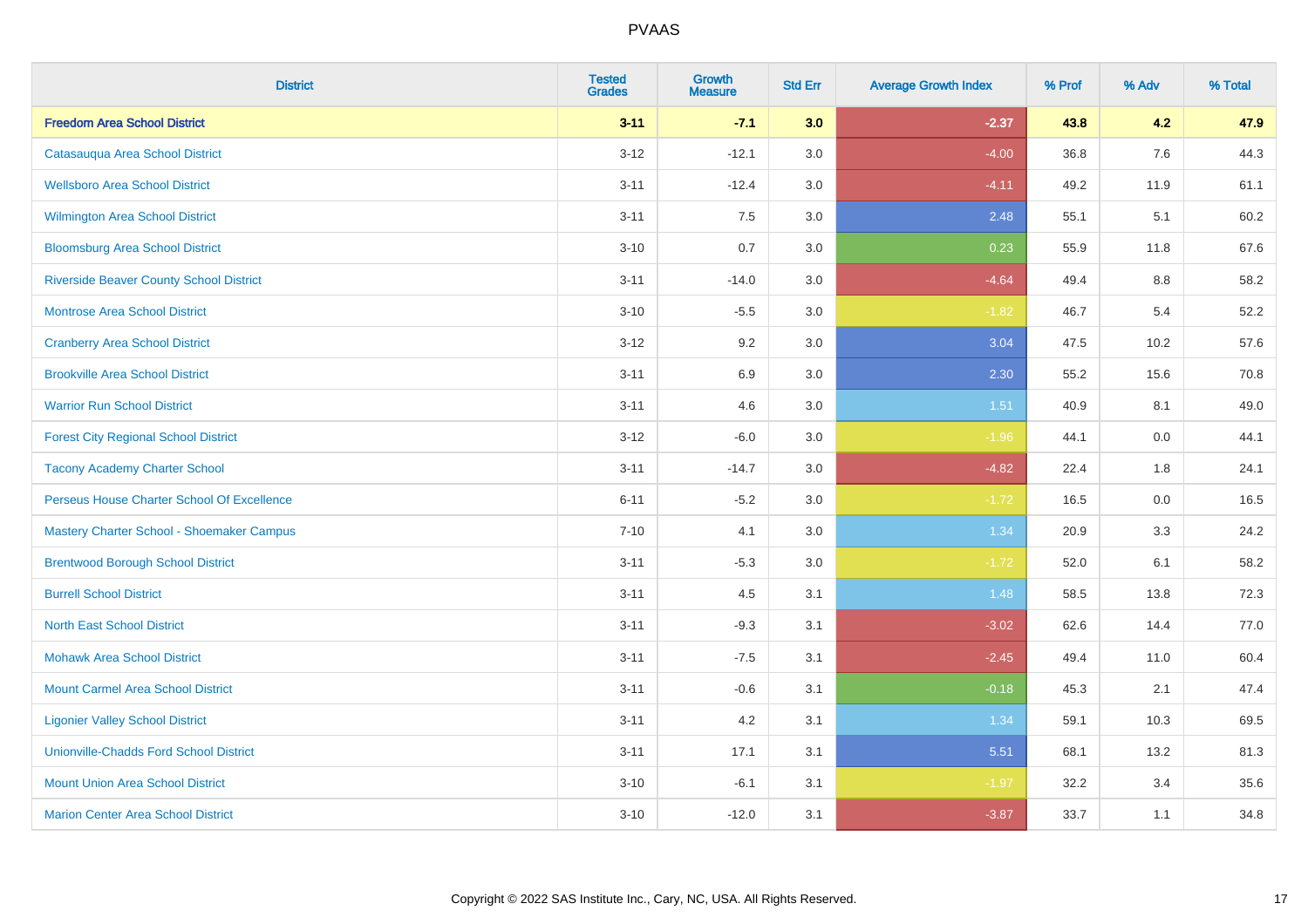| <b>District</b>                                | <b>Tested</b><br><b>Grades</b> | <b>Growth</b><br><b>Measure</b> | <b>Std Err</b> | <b>Average Growth Index</b> | % Prof | % Adv   | % Total |
|------------------------------------------------|--------------------------------|---------------------------------|----------------|-----------------------------|--------|---------|---------|
| <b>Freedom Area School District</b>            | $3 - 11$                       | $-7.1$                          | 3.0            | $-2.37$                     | 43.8   | 4.2     | 47.9    |
| Catasauqua Area School District                | $3 - 12$                       | $-12.1$                         | 3.0            | $-4.00$                     | 36.8   | 7.6     | 44.3    |
| <b>Wellsboro Area School District</b>          | $3 - 11$                       | $-12.4$                         | 3.0            | $-4.11$                     | 49.2   | 11.9    | 61.1    |
| <b>Wilmington Area School District</b>         | $3 - 11$                       | 7.5                             | 3.0            | 2.48                        | 55.1   | 5.1     | 60.2    |
| <b>Bloomsburg Area School District</b>         | $3 - 10$                       | 0.7                             | 3.0            | 0.23                        | 55.9   | 11.8    | 67.6    |
| <b>Riverside Beaver County School District</b> | $3 - 11$                       | $-14.0$                         | 3.0            | $-4.64$                     | 49.4   | 8.8     | 58.2    |
| <b>Montrose Area School District</b>           | $3 - 10$                       | $-5.5$                          | 3.0            | $-1.82$                     | 46.7   | 5.4     | 52.2    |
| <b>Cranberry Area School District</b>          | $3 - 12$                       | 9.2                             | 3.0            | 3.04                        | 47.5   | 10.2    | 57.6    |
| <b>Brookville Area School District</b>         | $3 - 11$                       | 6.9                             | 3.0            | 2.30                        | 55.2   | 15.6    | 70.8    |
| <b>Warrior Run School District</b>             | $3 - 11$                       | 4.6                             | 3.0            | 1.51                        | 40.9   | 8.1     | 49.0    |
| <b>Forest City Regional School District</b>    | $3 - 12$                       | $-6.0$                          | 3.0            | $-1.96$                     | 44.1   | 0.0     | 44.1    |
| <b>Tacony Academy Charter School</b>           | $3 - 11$                       | $-14.7$                         | 3.0            | $-4.82$                     | 22.4   | 1.8     | 24.1    |
| Perseus House Charter School Of Excellence     | $6 - 11$                       | $-5.2$                          | 3.0            | $-1.72$                     | 16.5   | $0.0\,$ | 16.5    |
| Mastery Charter School - Shoemaker Campus      | $7 - 10$                       | 4.1                             | 3.0            | 1.34                        | 20.9   | 3.3     | 24.2    |
| <b>Brentwood Borough School District</b>       | $3 - 11$                       | $-5.3$                          | 3.0            | $-1.72$                     | 52.0   | 6.1     | 58.2    |
| <b>Burrell School District</b>                 | $3 - 11$                       | 4.5                             | 3.1            | 1.48                        | 58.5   | 13.8    | 72.3    |
| <b>North East School District</b>              | $3 - 11$                       | $-9.3$                          | 3.1            | $-3.02$                     | 62.6   | 14.4    | 77.0    |
| <b>Mohawk Area School District</b>             | $3 - 11$                       | $-7.5$                          | 3.1            | $-2.45$                     | 49.4   | 11.0    | 60.4    |
| <b>Mount Carmel Area School District</b>       | $3 - 11$                       | $-0.6$                          | 3.1            | $-0.18$                     | 45.3   | 2.1     | 47.4    |
| <b>Ligonier Valley School District</b>         | $3 - 11$                       | 4.2                             | 3.1            | 1.34                        | 59.1   | 10.3    | 69.5    |
| <b>Unionville-Chadds Ford School District</b>  | $3 - 11$                       | 17.1                            | 3.1            | 5.51                        | 68.1   | 13.2    | 81.3    |
| <b>Mount Union Area School District</b>        | $3 - 10$                       | $-6.1$                          | 3.1            | $-1.97$                     | 32.2   | 3.4     | 35.6    |
| <b>Marion Center Area School District</b>      | $3 - 10$                       | $-12.0$                         | 3.1            | $-3.87$                     | 33.7   | 1.1     | 34.8    |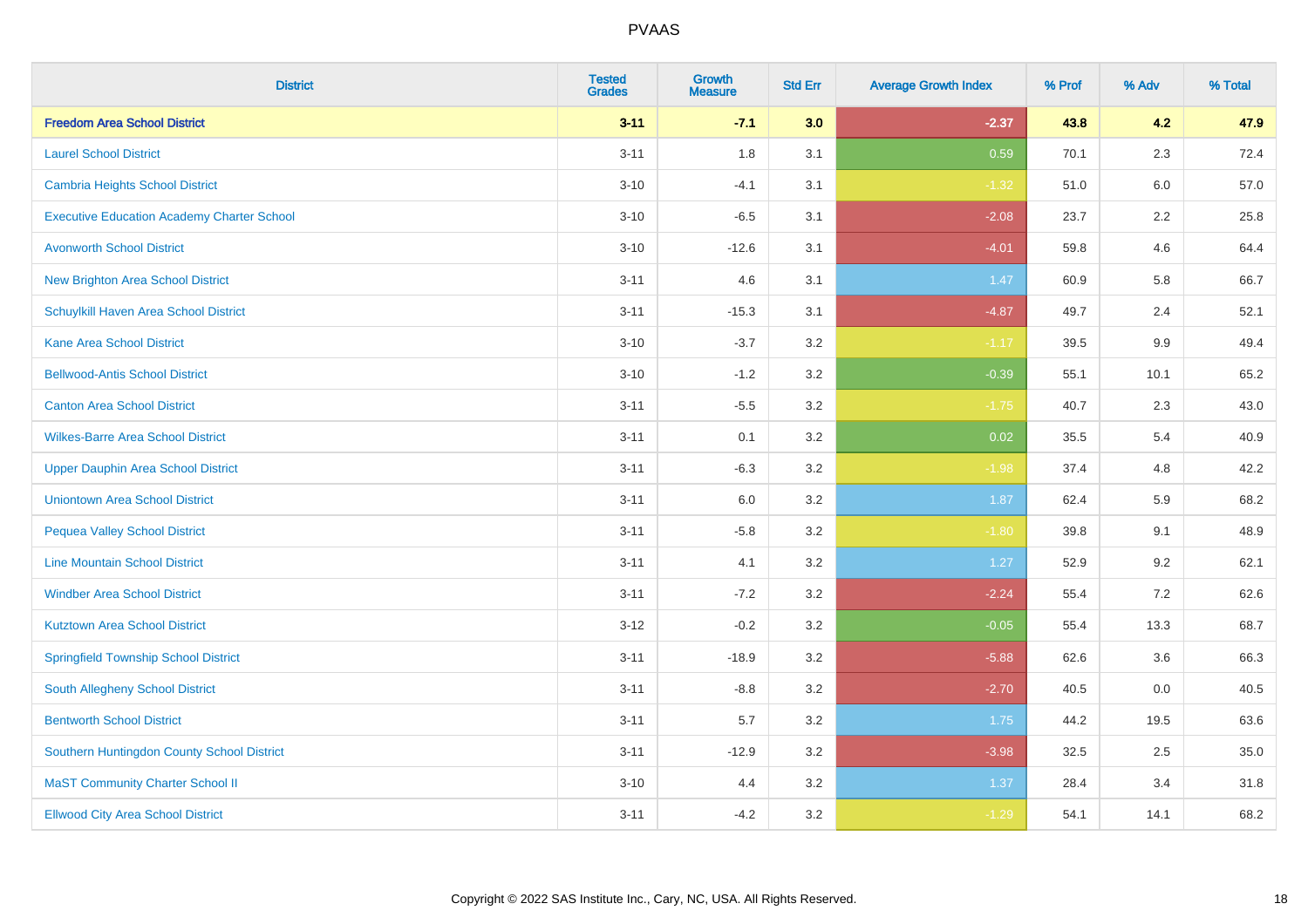| <b>District</b>                                   | <b>Tested</b><br><b>Grades</b> | Growth<br><b>Measure</b> | <b>Std Err</b> | <b>Average Growth Index</b> | % Prof | % Adv   | % Total |
|---------------------------------------------------|--------------------------------|--------------------------|----------------|-----------------------------|--------|---------|---------|
| <b>Freedom Area School District</b>               | $3 - 11$                       | $-7.1$                   | 3.0            | $-2.37$                     | 43.8   | 4.2     | 47.9    |
| <b>Laurel School District</b>                     | $3 - 11$                       | 1.8                      | 3.1            | 0.59                        | 70.1   | 2.3     | 72.4    |
| Cambria Heights School District                   | $3 - 10$                       | $-4.1$                   | 3.1            | $-1.32$                     | 51.0   | 6.0     | 57.0    |
| <b>Executive Education Academy Charter School</b> | $3 - 10$                       | $-6.5$                   | 3.1            | $-2.08$                     | 23.7   | $2.2\,$ | 25.8    |
| <b>Avonworth School District</b>                  | $3 - 10$                       | $-12.6$                  | 3.1            | $-4.01$                     | 59.8   | 4.6     | 64.4    |
| <b>New Brighton Area School District</b>          | $3 - 11$                       | 4.6                      | 3.1            | 1.47                        | 60.9   | 5.8     | 66.7    |
| Schuylkill Haven Area School District             | $3 - 11$                       | $-15.3$                  | 3.1            | $-4.87$                     | 49.7   | 2.4     | 52.1    |
| <b>Kane Area School District</b>                  | $3 - 10$                       | $-3.7$                   | 3.2            | $-1.17$                     | 39.5   | 9.9     | 49.4    |
| <b>Bellwood-Antis School District</b>             | $3 - 10$                       | $-1.2$                   | 3.2            | $-0.39$                     | 55.1   | 10.1    | 65.2    |
| <b>Canton Area School District</b>                | $3 - 11$                       | $-5.5$                   | 3.2            | $-1.75$                     | 40.7   | 2.3     | 43.0    |
| <b>Wilkes-Barre Area School District</b>          | $3 - 11$                       | 0.1                      | 3.2            | 0.02                        | 35.5   | 5.4     | 40.9    |
| <b>Upper Dauphin Area School District</b>         | $3 - 11$                       | $-6.3$                   | 3.2            | $-1.98$                     | 37.4   | 4.8     | 42.2    |
| <b>Uniontown Area School District</b>             | $3 - 11$                       | 6.0                      | 3.2            | 1.87                        | 62.4   | 5.9     | 68.2    |
| <b>Pequea Valley School District</b>              | $3 - 11$                       | $-5.8$                   | 3.2            | $-1.80$                     | 39.8   | 9.1     | 48.9    |
| <b>Line Mountain School District</b>              | $3 - 11$                       | 4.1                      | 3.2            | 1.27                        | 52.9   | 9.2     | 62.1    |
| <b>Windber Area School District</b>               | $3 - 11$                       | $-7.2$                   | 3.2            | $-2.24$                     | 55.4   | $7.2\,$ | 62.6    |
| <b>Kutztown Area School District</b>              | $3 - 12$                       | $-0.2$                   | 3.2            | $-0.05$                     | 55.4   | 13.3    | 68.7    |
| <b>Springfield Township School District</b>       | $3 - 11$                       | $-18.9$                  | 3.2            | $-5.88$                     | 62.6   | 3.6     | 66.3    |
| <b>South Allegheny School District</b>            | $3 - 11$                       | $-8.8$                   | 3.2            | $-2.70$                     | 40.5   | 0.0     | 40.5    |
| <b>Bentworth School District</b>                  | $3 - 11$                       | 5.7                      | 3.2            | 1.75                        | 44.2   | 19.5    | 63.6    |
| Southern Huntingdon County School District        | $3 - 11$                       | $-12.9$                  | 3.2            | $-3.98$                     | 32.5   | 2.5     | 35.0    |
| <b>MaST Community Charter School II</b>           | $3 - 10$                       | 4.4                      | 3.2            | 1.37                        | 28.4   | 3.4     | 31.8    |
| <b>Ellwood City Area School District</b>          | $3 - 11$                       | $-4.2$                   | 3.2            | $-1.29$                     | 54.1   | 14.1    | 68.2    |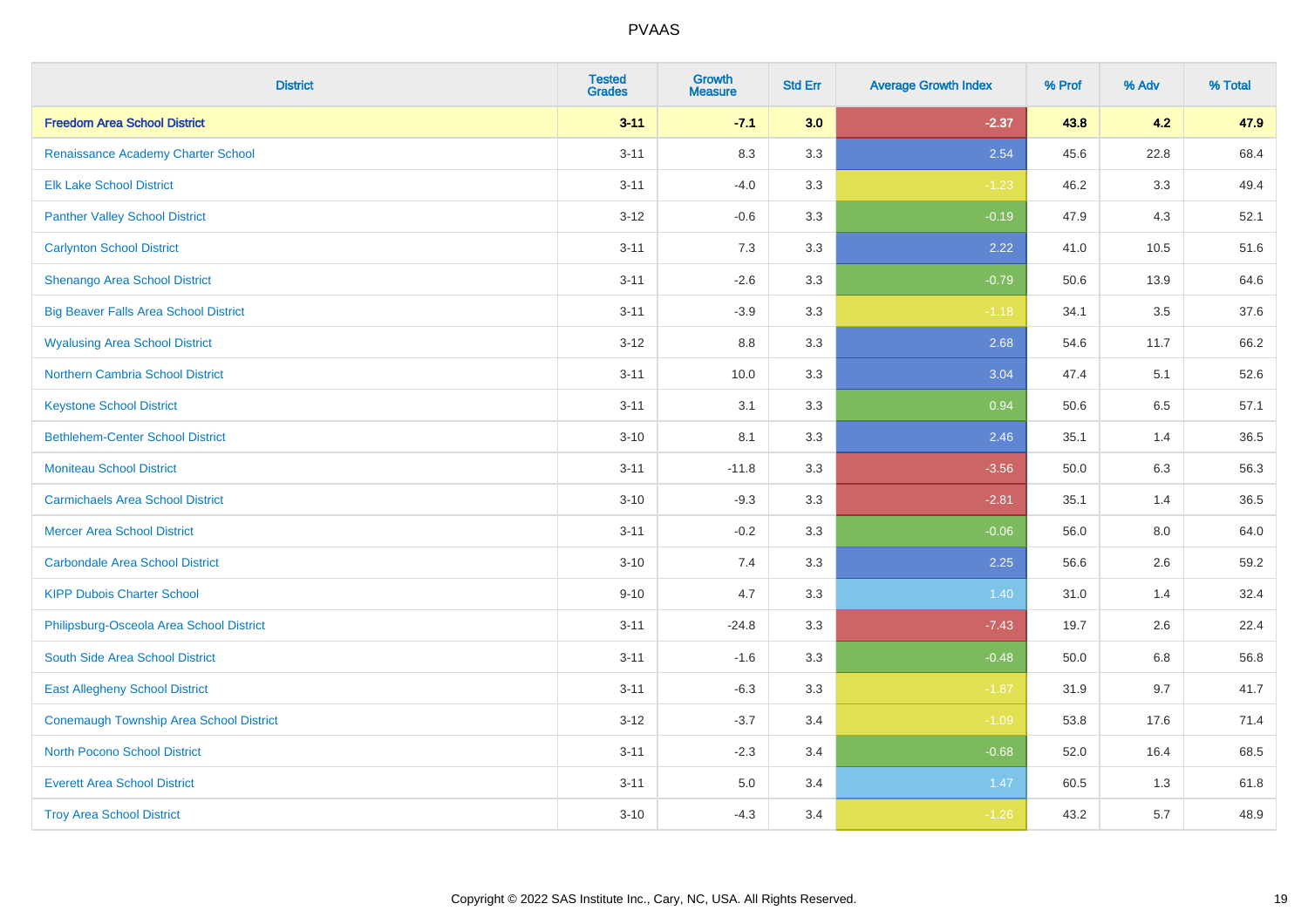| <b>District</b>                              | <b>Tested</b><br><b>Grades</b> | Growth<br><b>Measure</b> | <b>Std Err</b> | <b>Average Growth Index</b> | % Prof | % Adv   | % Total |
|----------------------------------------------|--------------------------------|--------------------------|----------------|-----------------------------|--------|---------|---------|
| <b>Freedom Area School District</b>          | $3 - 11$                       | $-7.1$                   | 3.0            | $-2.37$                     | 43.8   | 4.2     | 47.9    |
| Renaissance Academy Charter School           | $3 - 11$                       | 8.3                      | 3.3            | 2.54                        | 45.6   | 22.8    | 68.4    |
| <b>Elk Lake School District</b>              | $3 - 11$                       | $-4.0$                   | 3.3            | $-1.23$                     | 46.2   | 3.3     | 49.4    |
| <b>Panther Valley School District</b>        | $3 - 12$                       | $-0.6$                   | 3.3            | $-0.19$                     | 47.9   | 4.3     | 52.1    |
| <b>Carlynton School District</b>             | $3 - 11$                       | 7.3                      | 3.3            | 2.22                        | 41.0   | 10.5    | 51.6    |
| <b>Shenango Area School District</b>         | $3 - 11$                       | $-2.6$                   | 3.3            | $-0.79$                     | 50.6   | 13.9    | 64.6    |
| <b>Big Beaver Falls Area School District</b> | $3 - 11$                       | $-3.9$                   | 3.3            | $-1.18$                     | 34.1   | 3.5     | 37.6    |
| <b>Wyalusing Area School District</b>        | $3 - 12$                       | $8.8\,$                  | 3.3            | 2.68                        | 54.6   | 11.7    | 66.2    |
| <b>Northern Cambria School District</b>      | $3 - 11$                       | 10.0                     | 3.3            | 3.04                        | 47.4   | 5.1     | 52.6    |
| <b>Keystone School District</b>              | $3 - 11$                       | 3.1                      | 3.3            | 0.94                        | 50.6   | 6.5     | 57.1    |
| <b>Bethlehem-Center School District</b>      | $3 - 10$                       | 8.1                      | 3.3            | 2.46                        | 35.1   | 1.4     | 36.5    |
| <b>Moniteau School District</b>              | $3 - 11$                       | $-11.8$                  | 3.3            | $-3.56$                     | 50.0   | 6.3     | 56.3    |
| <b>Carmichaels Area School District</b>      | $3 - 10$                       | $-9.3$                   | 3.3            | $-2.81$                     | 35.1   | 1.4     | 36.5    |
| <b>Mercer Area School District</b>           | $3 - 11$                       | $-0.2$                   | 3.3            | $-0.06$                     | 56.0   | $8.0\,$ | 64.0    |
| <b>Carbondale Area School District</b>       | $3 - 10$                       | 7.4                      | 3.3            | 2.25                        | 56.6   | 2.6     | 59.2    |
| <b>KIPP Dubois Charter School</b>            | $9 - 10$                       | 4.7                      | 3.3            | 1.40                        | 31.0   | 1.4     | 32.4    |
| Philipsburg-Osceola Area School District     | $3 - 11$                       | $-24.8$                  | 3.3            | $-7.43$                     | 19.7   | 2.6     | 22.4    |
| South Side Area School District              | $3 - 11$                       | $-1.6$                   | 3.3            | $-0.48$                     | 50.0   | 6.8     | 56.8    |
| <b>East Allegheny School District</b>        | $3 - 11$                       | $-6.3$                   | 3.3            | $-1.87$                     | 31.9   | 9.7     | 41.7    |
| Conemaugh Township Area School District      | $3 - 12$                       | $-3.7$                   | 3.4            | $-1.09$                     | 53.8   | 17.6    | 71.4    |
| <b>North Pocono School District</b>          | $3 - 11$                       | $-2.3$                   | 3.4            | $-0.68$                     | 52.0   | 16.4    | 68.5    |
| <b>Everett Area School District</b>          | $3 - 11$                       | 5.0                      | 3.4            | 1.47                        | 60.5   | 1.3     | 61.8    |
| <b>Troy Area School District</b>             | $3 - 10$                       | $-4.3$                   | 3.4            | $-1.26$                     | 43.2   | 5.7     | 48.9    |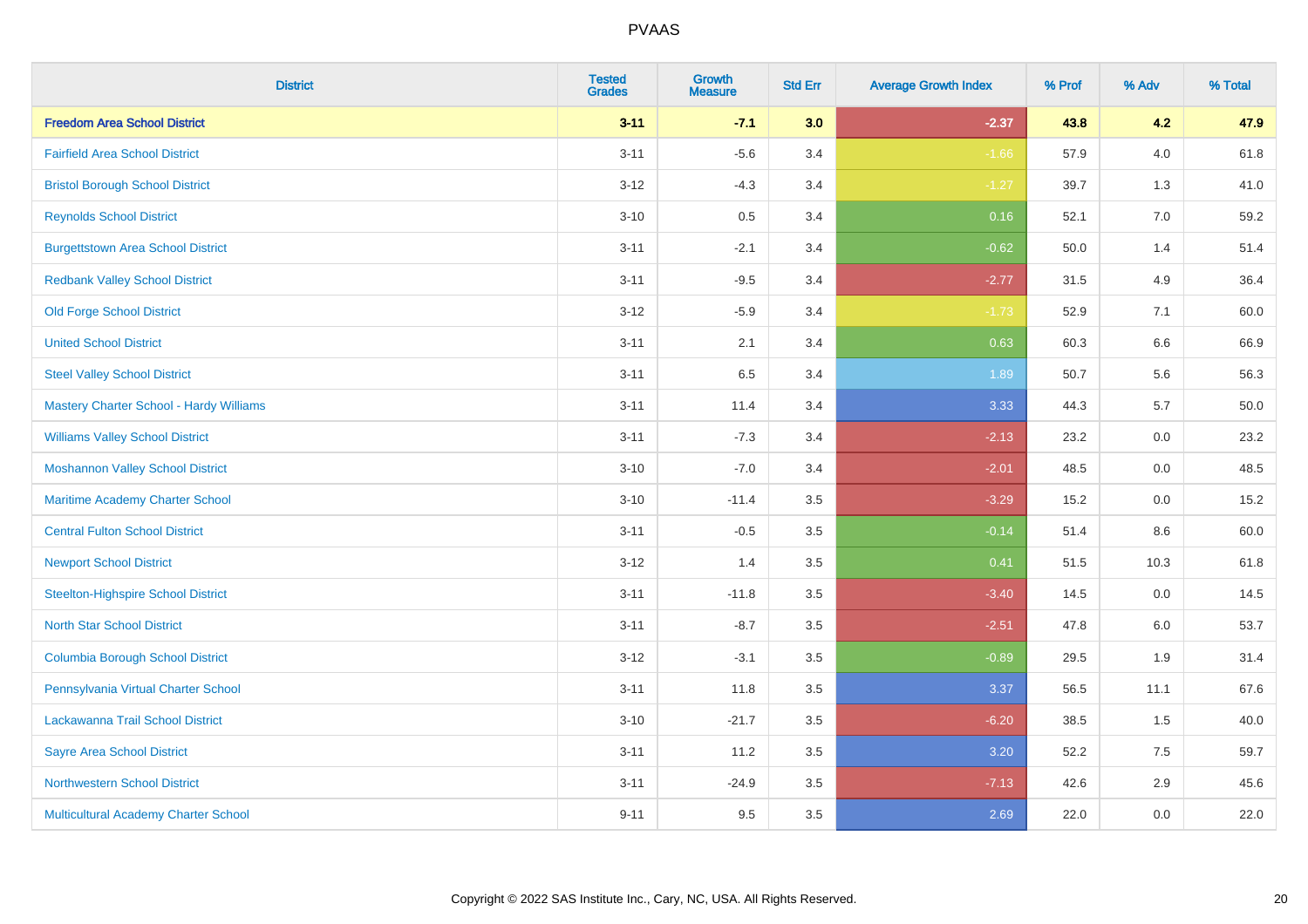| <b>District</b>                           | <b>Tested</b><br><b>Grades</b> | <b>Growth</b><br><b>Measure</b> | <b>Std Err</b> | <b>Average Growth Index</b> | % Prof | % Adv   | % Total  |
|-------------------------------------------|--------------------------------|---------------------------------|----------------|-----------------------------|--------|---------|----------|
| <b>Freedom Area School District</b>       | $3 - 11$                       | $-7.1$                          | 3.0            | $-2.37$                     | 43.8   | 4.2     | 47.9     |
| <b>Fairfield Area School District</b>     | $3 - 11$                       | $-5.6$                          | 3.4            | $-1.66$                     | 57.9   | 4.0     | 61.8     |
| <b>Bristol Borough School District</b>    | $3 - 12$                       | $-4.3$                          | 3.4            | $-1.27$                     | 39.7   | 1.3     | 41.0     |
| <b>Reynolds School District</b>           | $3 - 10$                       | 0.5                             | 3.4            | 0.16                        | 52.1   | 7.0     | 59.2     |
| <b>Burgettstown Area School District</b>  | $3 - 11$                       | $-2.1$                          | 3.4            | $-0.62$                     | 50.0   | 1.4     | 51.4     |
| <b>Redbank Valley School District</b>     | $3 - 11$                       | $-9.5$                          | 3.4            | $-2.77$                     | 31.5   | 4.9     | 36.4     |
| <b>Old Forge School District</b>          | $3 - 12$                       | $-5.9$                          | 3.4            | $-1.73$                     | 52.9   | 7.1     | 60.0     |
| <b>United School District</b>             | $3 - 11$                       | 2.1                             | 3.4            | 0.63                        | 60.3   | 6.6     | 66.9     |
| <b>Steel Valley School District</b>       | $3 - 11$                       | 6.5                             | 3.4            | 1.89                        | 50.7   | 5.6     | 56.3     |
| Mastery Charter School - Hardy Williams   | $3 - 11$                       | 11.4                            | 3.4            | 3.33                        | 44.3   | 5.7     | $50.0\,$ |
| <b>Williams Valley School District</b>    | $3 - 11$                       | $-7.3$                          | 3.4            | $-2.13$                     | 23.2   | 0.0     | 23.2     |
| <b>Moshannon Valley School District</b>   | $3 - 10$                       | $-7.0$                          | 3.4            | $-2.01$                     | 48.5   | 0.0     | 48.5     |
| Maritime Academy Charter School           | $3 - 10$                       | $-11.4$                         | 3.5            | $-3.29$                     | 15.2   | 0.0     | 15.2     |
| <b>Central Fulton School District</b>     | $3 - 11$                       | $-0.5$                          | 3.5            | $-0.14$                     | 51.4   | $8.6\,$ | 60.0     |
| <b>Newport School District</b>            | $3 - 12$                       | 1.4                             | 3.5            | 0.41                        | 51.5   | 10.3    | 61.8     |
| <b>Steelton-Highspire School District</b> | $3 - 11$                       | $-11.8$                         | 3.5            | $-3.40$                     | 14.5   | 0.0     | 14.5     |
| <b>North Star School District</b>         | $3 - 11$                       | $-8.7$                          | 3.5            | $-2.51$                     | 47.8   | 6.0     | 53.7     |
| <b>Columbia Borough School District</b>   | $3 - 12$                       | $-3.1$                          | 3.5            | $-0.89$                     | 29.5   | 1.9     | 31.4     |
| Pennsylvania Virtual Charter School       | $3 - 11$                       | 11.8                            | 3.5            | 3.37                        | 56.5   | 11.1    | 67.6     |
| Lackawanna Trail School District          | $3 - 10$                       | $-21.7$                         | 3.5            | $-6.20$                     | 38.5   | 1.5     | 40.0     |
| <b>Sayre Area School District</b>         | $3 - 11$                       | 11.2                            | 3.5            | 3.20                        | 52.2   | 7.5     | 59.7     |
| <b>Northwestern School District</b>       | $3 - 11$                       | $-24.9$                         | 3.5            | $-7.13$                     | 42.6   | 2.9     | 45.6     |
| Multicultural Academy Charter School      | $9 - 11$                       | 9.5                             | 3.5            | 2.69                        | 22.0   | 0.0     | 22.0     |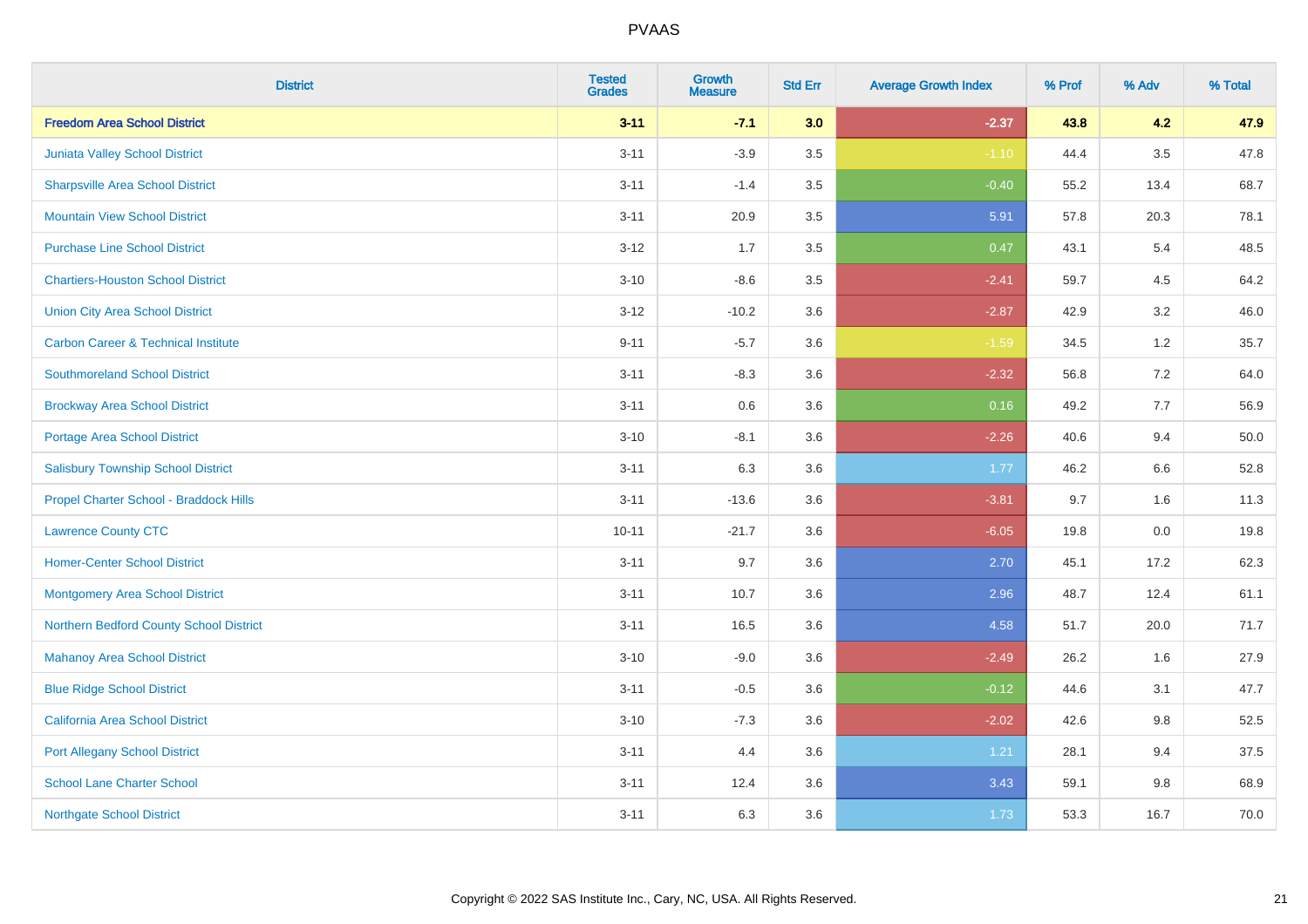| <b>District</b>                                | <b>Tested</b><br><b>Grades</b> | <b>Growth</b><br><b>Measure</b> | <b>Std Err</b> | <b>Average Growth Index</b> | % Prof | % Adv   | % Total |
|------------------------------------------------|--------------------------------|---------------------------------|----------------|-----------------------------|--------|---------|---------|
| <b>Freedom Area School District</b>            | $3 - 11$                       | $-7.1$                          | 3.0            | $-2.37$                     | 43.8   | 4.2     | 47.9    |
| Juniata Valley School District                 | $3 - 11$                       | $-3.9$                          | $3.5\,$        | $-1.10$                     | 44.4   | $3.5\,$ | 47.8    |
| <b>Sharpsville Area School District</b>        | $3 - 11$                       | $-1.4$                          | 3.5            | $-0.40$                     | 55.2   | 13.4    | 68.7    |
| <b>Mountain View School District</b>           | $3 - 11$                       | 20.9                            | 3.5            | 5.91                        | 57.8   | 20.3    | 78.1    |
| <b>Purchase Line School District</b>           | $3 - 12$                       | 1.7                             | 3.5            | 0.47                        | 43.1   | 5.4     | 48.5    |
| <b>Chartiers-Houston School District</b>       | $3 - 10$                       | $-8.6$                          | 3.5            | $-2.41$                     | 59.7   | 4.5     | 64.2    |
| <b>Union City Area School District</b>         | $3 - 12$                       | $-10.2$                         | 3.6            | $-2.87$                     | 42.9   | 3.2     | 46.0    |
| <b>Carbon Career &amp; Technical Institute</b> | $9 - 11$                       | $-5.7$                          | 3.6            | $-1.59$                     | 34.5   | $1.2$   | 35.7    |
| <b>Southmoreland School District</b>           | $3 - 11$                       | $-8.3$                          | 3.6            | $-2.32$                     | 56.8   | 7.2     | 64.0    |
| <b>Brockway Area School District</b>           | $3 - 11$                       | 0.6                             | 3.6            | 0.16                        | 49.2   | 7.7     | 56.9    |
| Portage Area School District                   | $3 - 10$                       | $-8.1$                          | 3.6            | $-2.26$                     | 40.6   | 9.4     | 50.0    |
| <b>Salisbury Township School District</b>      | $3 - 11$                       | 6.3                             | 3.6            | 1.77                        | 46.2   | 6.6     | 52.8    |
| Propel Charter School - Braddock Hills         | $3 - 11$                       | $-13.6$                         | 3.6            | $-3.81$                     | 9.7    | 1.6     | 11.3    |
| <b>Lawrence County CTC</b>                     | $10 - 11$                      | $-21.7$                         | 3.6            | $-6.05$                     | 19.8   | $0.0\,$ | 19.8    |
| <b>Homer-Center School District</b>            | $3 - 11$                       | 9.7                             | 3.6            | 2.70                        | 45.1   | 17.2    | 62.3    |
| <b>Montgomery Area School District</b>         | $3 - 11$                       | 10.7                            | 3.6            | 2.96                        | 48.7   | 12.4    | 61.1    |
| Northern Bedford County School District        | $3 - 11$                       | 16.5                            | 3.6            | 4.58                        | 51.7   | 20.0    | 71.7    |
| <b>Mahanoy Area School District</b>            | $3 - 10$                       | $-9.0$                          | 3.6            | $-2.49$                     | 26.2   | 1.6     | 27.9    |
| <b>Blue Ridge School District</b>              | $3 - 11$                       | $-0.5$                          | 3.6            | $-0.12$                     | 44.6   | 3.1     | 47.7    |
| California Area School District                | $3 - 10$                       | $-7.3$                          | 3.6            | $-2.02$                     | 42.6   | 9.8     | 52.5    |
| <b>Port Allegany School District</b>           | $3 - 11$                       | 4.4                             | 3.6            | 1.21                        | 28.1   | 9.4     | 37.5    |
| <b>School Lane Charter School</b>              | $3 - 11$                       | 12.4                            | 3.6            | 3.43                        | 59.1   | $9.8\,$ | 68.9    |
| <b>Northgate School District</b>               | $3 - 11$                       | 6.3                             | 3.6            | 1.73                        | 53.3   | 16.7    | 70.0    |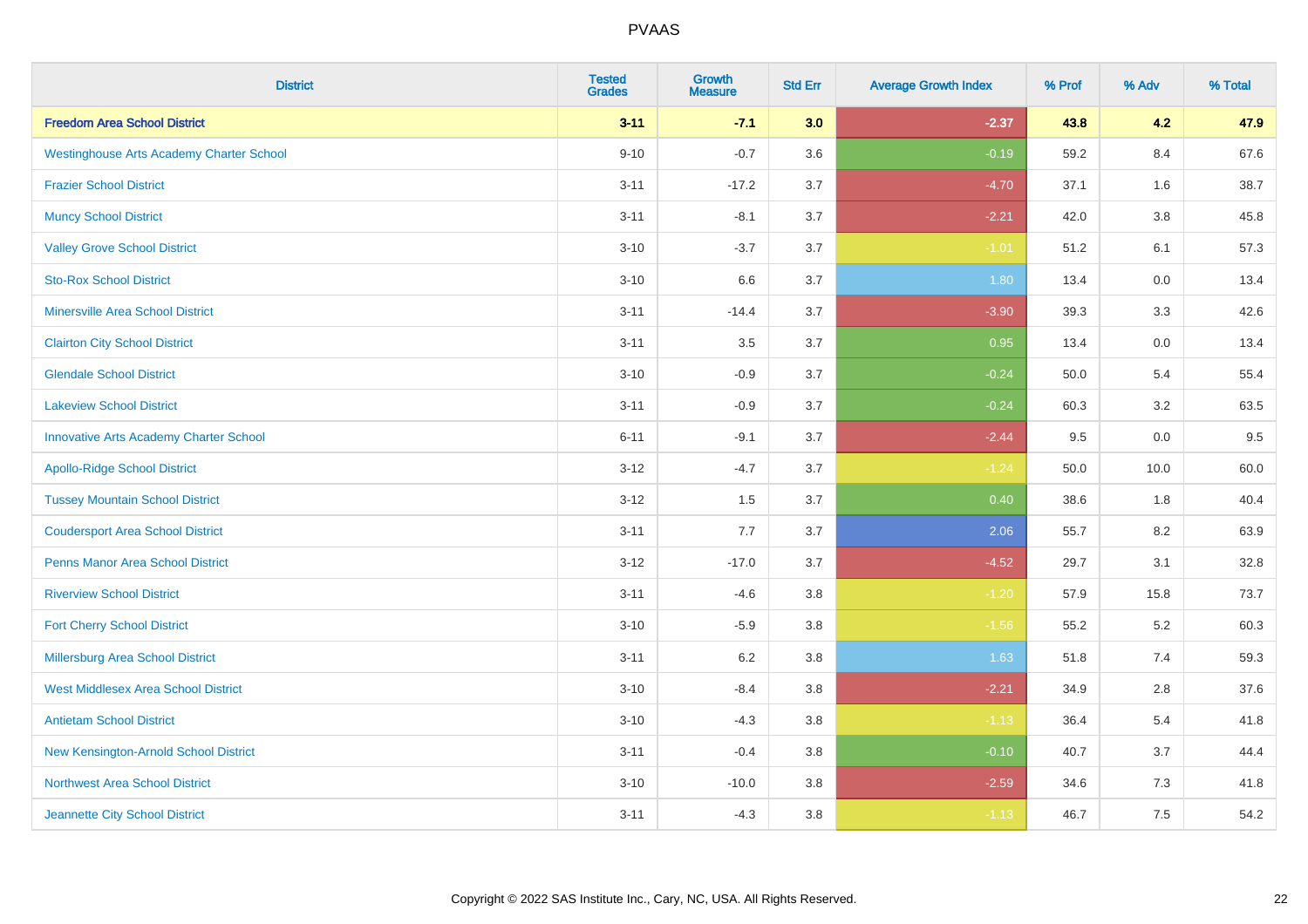| <b>District</b>                                 | <b>Tested</b><br><b>Grades</b> | Growth<br><b>Measure</b> | <b>Std Err</b> | <b>Average Growth Index</b> | % Prof | % Adv   | % Total |
|-------------------------------------------------|--------------------------------|--------------------------|----------------|-----------------------------|--------|---------|---------|
| <b>Freedom Area School District</b>             | $3 - 11$                       | $-7.1$                   | 3.0            | $-2.37$                     | 43.8   | 4.2     | 47.9    |
| <b>Westinghouse Arts Academy Charter School</b> | $9 - 10$                       | $-0.7$                   | 3.6            | $-0.19$                     | 59.2   | 8.4     | 67.6    |
| <b>Frazier School District</b>                  | $3 - 11$                       | $-17.2$                  | 3.7            | $-4.70$                     | 37.1   | 1.6     | 38.7    |
| <b>Muncy School District</b>                    | $3 - 11$                       | $-8.1$                   | 3.7            | $-2.21$                     | 42.0   | $3.8\,$ | 45.8    |
| <b>Valley Grove School District</b>             | $3 - 10$                       | $-3.7$                   | 3.7            | $-1.01$                     | 51.2   | 6.1     | 57.3    |
| <b>Sto-Rox School District</b>                  | $3 - 10$                       | 6.6                      | 3.7            | 1.80                        | 13.4   | 0.0     | 13.4    |
| <b>Minersville Area School District</b>         | $3 - 11$                       | $-14.4$                  | 3.7            | $-3.90$                     | 39.3   | 3.3     | 42.6    |
| <b>Clairton City School District</b>            | $3 - 11$                       | 3.5                      | 3.7            | 0.95                        | 13.4   | 0.0     | 13.4    |
| <b>Glendale School District</b>                 | $3 - 10$                       | $-0.9$                   | 3.7            | $-0.24$                     | 50.0   | 5.4     | 55.4    |
| <b>Lakeview School District</b>                 | $3 - 11$                       | $-0.9$                   | 3.7            | $-0.24$                     | 60.3   | 3.2     | 63.5    |
| <b>Innovative Arts Academy Charter School</b>   | $6 - 11$                       | $-9.1$                   | 3.7            | $-2.44$                     | 9.5    | 0.0     | 9.5     |
| <b>Apollo-Ridge School District</b>             | $3 - 12$                       | $-4.7$                   | 3.7            | $-1.24$                     | 50.0   | 10.0    | 60.0    |
| <b>Tussey Mountain School District</b>          | $3 - 12$                       | 1.5                      | 3.7            | 0.40                        | 38.6   | 1.8     | 40.4    |
| <b>Coudersport Area School District</b>         | $3 - 11$                       | 7.7                      | 3.7            | 2.06                        | 55.7   | 8.2     | 63.9    |
| <b>Penns Manor Area School District</b>         | $3 - 12$                       | $-17.0$                  | 3.7            | $-4.52$                     | 29.7   | 3.1     | 32.8    |
| <b>Riverview School District</b>                | $3 - 11$                       | $-4.6$                   | 3.8            | $-1.20$                     | 57.9   | 15.8    | 73.7    |
| <b>Fort Cherry School District</b>              | $3 - 10$                       | $-5.9$                   | 3.8            | $-1.56$                     | 55.2   | 5.2     | 60.3    |
| Millersburg Area School District                | $3 - 11$                       | $6.2\,$                  | 3.8            | 1.63                        | 51.8   | 7.4     | 59.3    |
| <b>West Middlesex Area School District</b>      | $3 - 10$                       | $-8.4$                   | 3.8            | $-2.21$                     | 34.9   | 2.8     | 37.6    |
| <b>Antietam School District</b>                 | $3 - 10$                       | $-4.3$                   | $3.8\,$        | $-1.13$                     | 36.4   | 5.4     | 41.8    |
| New Kensington-Arnold School District           | $3 - 11$                       | $-0.4$                   | 3.8            | $-0.10$                     | 40.7   | 3.7     | 44.4    |
| Northwest Area School District                  | $3 - 10$                       | $-10.0$                  | 3.8            | $-2.59$                     | 34.6   | 7.3     | 41.8    |
| Jeannette City School District                  | $3 - 11$                       | $-4.3$                   | 3.8            | $-1.13$                     | 46.7   | 7.5     | 54.2    |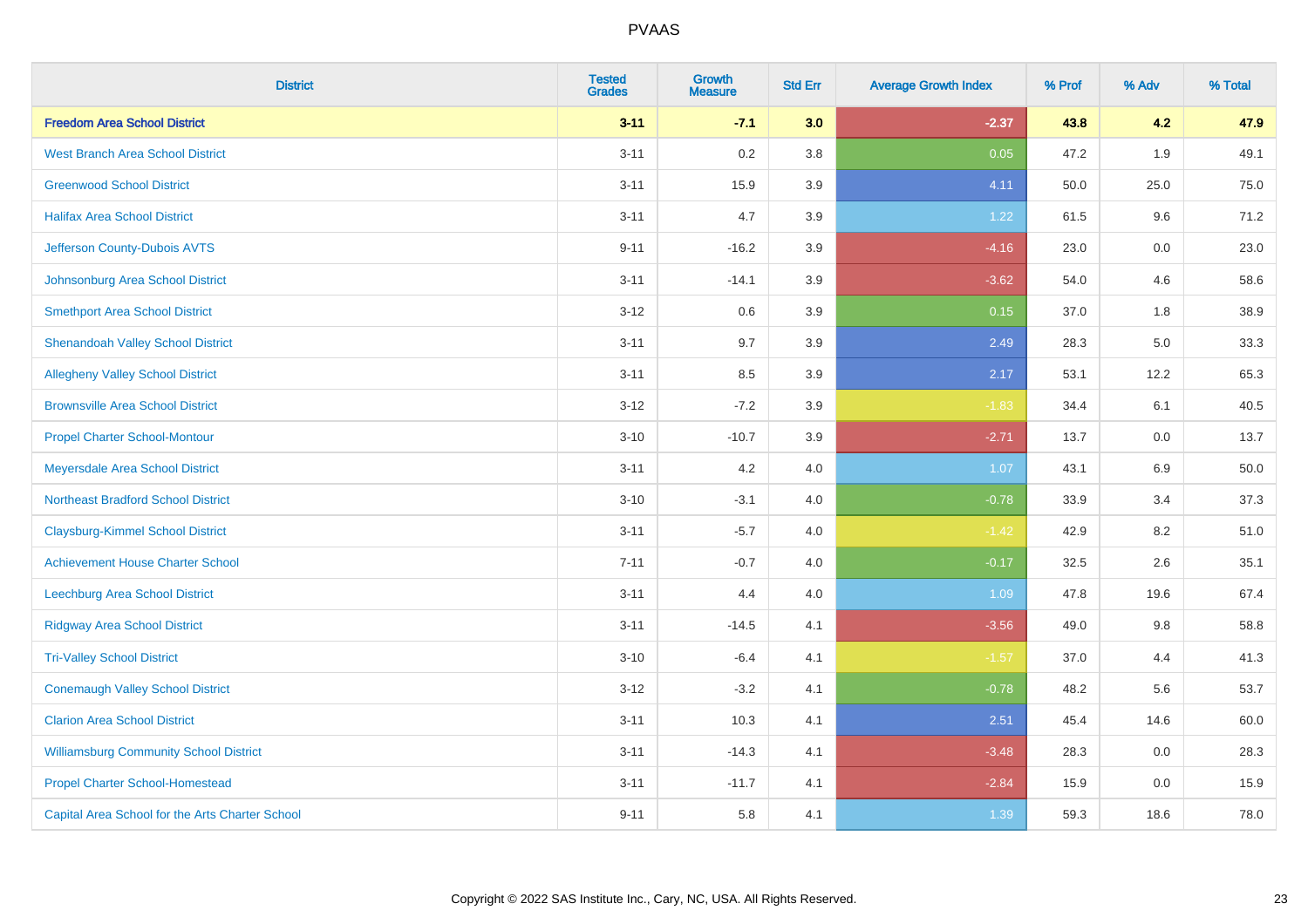| <b>District</b>                                 | <b>Tested</b><br><b>Grades</b> | <b>Growth</b><br><b>Measure</b> | <b>Std Err</b> | <b>Average Growth Index</b> | % Prof | % Adv | % Total |
|-------------------------------------------------|--------------------------------|---------------------------------|----------------|-----------------------------|--------|-------|---------|
| <b>Freedom Area School District</b>             | $3 - 11$                       | $-7.1$                          | 3.0            | $-2.37$                     | 43.8   | 4.2   | 47.9    |
| <b>West Branch Area School District</b>         | $3 - 11$                       | 0.2                             | 3.8            | 0.05                        | 47.2   | 1.9   | 49.1    |
| <b>Greenwood School District</b>                | $3 - 11$                       | 15.9                            | 3.9            | 4.11                        | 50.0   | 25.0  | 75.0    |
| <b>Halifax Area School District</b>             | $3 - 11$                       | 4.7                             | 3.9            | 1.22                        | 61.5   | 9.6   | 71.2    |
| Jefferson County-Dubois AVTS                    | $9 - 11$                       | $-16.2$                         | 3.9            | $-4.16$                     | 23.0   | 0.0   | 23.0    |
| Johnsonburg Area School District                | $3 - 11$                       | $-14.1$                         | 3.9            | $-3.62$                     | 54.0   | 4.6   | 58.6    |
| <b>Smethport Area School District</b>           | $3 - 12$                       | 0.6                             | 3.9            | 0.15                        | 37.0   | 1.8   | 38.9    |
| <b>Shenandoah Valley School District</b>        | $3 - 11$                       | 9.7                             | 3.9            | 2.49                        | 28.3   | 5.0   | 33.3    |
| <b>Allegheny Valley School District</b>         | $3 - 11$                       | 8.5                             | 3.9            | 2.17                        | 53.1   | 12.2  | 65.3    |
| <b>Brownsville Area School District</b>         | $3 - 12$                       | $-7.2$                          | 3.9            | $-1.83$                     | 34.4   | 6.1   | 40.5    |
| <b>Propel Charter School-Montour</b>            | $3 - 10$                       | $-10.7$                         | 3.9            | $-2.71$                     | 13.7   | 0.0   | 13.7    |
| Meyersdale Area School District                 | $3 - 11$                       | 4.2                             | 4.0            | 1.07                        | 43.1   | 6.9   | 50.0    |
| <b>Northeast Bradford School District</b>       | $3 - 10$                       | $-3.1$                          | 4.0            | $-0.78$                     | 33.9   | 3.4   | 37.3    |
| <b>Claysburg-Kimmel School District</b>         | $3 - 11$                       | $-5.7$                          | 4.0            | $-1.42$                     | 42.9   | 8.2   | 51.0    |
| <b>Achievement House Charter School</b>         | $7 - 11$                       | $-0.7$                          | 4.0            | $-0.17$                     | 32.5   | 2.6   | 35.1    |
| Leechburg Area School District                  | $3 - 11$                       | 4.4                             | 4.0            | 1.09                        | 47.8   | 19.6  | 67.4    |
| <b>Ridgway Area School District</b>             | $3 - 11$                       | $-14.5$                         | 4.1            | $-3.56$                     | 49.0   | 9.8   | 58.8    |
| <b>Tri-Valley School District</b>               | $3 - 10$                       | $-6.4$                          | 4.1            | $-1.57$                     | 37.0   | 4.4   | 41.3    |
| <b>Conemaugh Valley School District</b>         | $3 - 12$                       | $-3.2$                          | 4.1            | $-0.78$                     | 48.2   | 5.6   | 53.7    |
| <b>Clarion Area School District</b>             | $3 - 11$                       | 10.3                            | 4.1            | 2.51                        | 45.4   | 14.6  | 60.0    |
| <b>Williamsburg Community School District</b>   | $3 - 11$                       | $-14.3$                         | 4.1            | $-3.48$                     | 28.3   | 0.0   | 28.3    |
| <b>Propel Charter School-Homestead</b>          | $3 - 11$                       | $-11.7$                         | 4.1            | $-2.84$                     | 15.9   | 0.0   | 15.9    |
| Capital Area School for the Arts Charter School | $9 - 11$                       | 5.8                             | 4.1            | 1.39                        | 59.3   | 18.6  | 78.0    |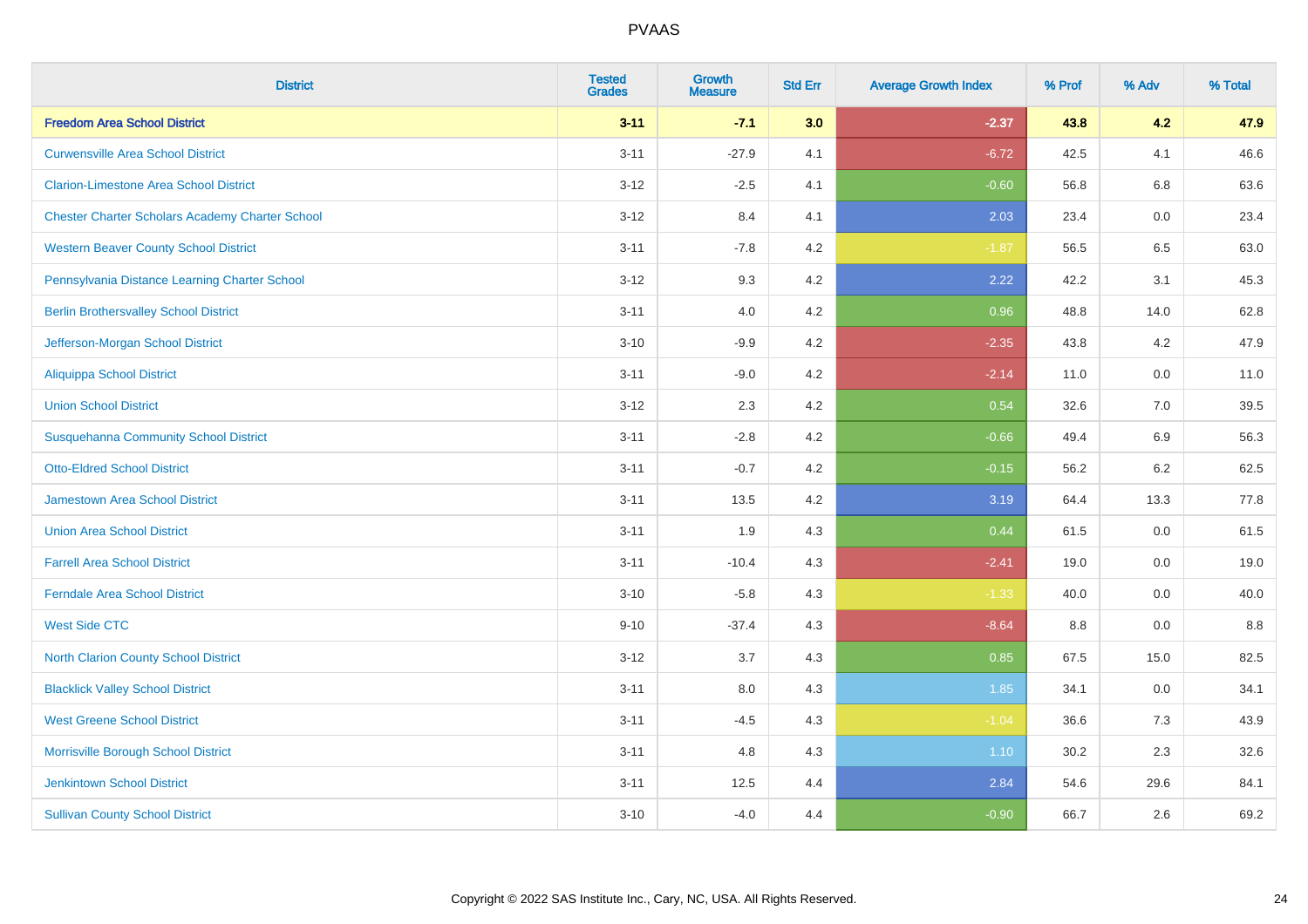| <b>District</b>                                        | <b>Tested</b><br><b>Grades</b> | <b>Growth</b><br><b>Measure</b> | <b>Std Err</b> | <b>Average Growth Index</b> | % Prof | % Adv   | % Total |
|--------------------------------------------------------|--------------------------------|---------------------------------|----------------|-----------------------------|--------|---------|---------|
| <b>Freedom Area School District</b>                    | $3 - 11$                       | $-7.1$                          | 3.0            | $-2.37$                     | 43.8   | 4.2     | 47.9    |
| <b>Curwensville Area School District</b>               | $3 - 11$                       | $-27.9$                         | 4.1            | $-6.72$                     | 42.5   | 4.1     | 46.6    |
| <b>Clarion-Limestone Area School District</b>          | $3 - 12$                       | $-2.5$                          | 4.1            | $-0.60$                     | 56.8   | 6.8     | 63.6    |
| <b>Chester Charter Scholars Academy Charter School</b> | $3 - 12$                       | 8.4                             | 4.1            | 2.03                        | 23.4   | 0.0     | 23.4    |
| <b>Western Beaver County School District</b>           | $3 - 11$                       | $-7.8$                          | 4.2            | $-1.87$                     | 56.5   | 6.5     | 63.0    |
| Pennsylvania Distance Learning Charter School          | $3 - 12$                       | 9.3                             | 4.2            | 2.22                        | 42.2   | 3.1     | 45.3    |
| <b>Berlin Brothersvalley School District</b>           | $3 - 11$                       | 4.0                             | 4.2            | 0.96                        | 48.8   | 14.0    | 62.8    |
| Jefferson-Morgan School District                       | $3 - 10$                       | $-9.9$                          | 4.2            | $-2.35$                     | 43.8   | 4.2     | 47.9    |
| <b>Aliquippa School District</b>                       | $3 - 11$                       | $-9.0$                          | 4.2            | $-2.14$                     | 11.0   | 0.0     | 11.0    |
| <b>Union School District</b>                           | $3 - 12$                       | 2.3                             | 4.2            | 0.54                        | 32.6   | 7.0     | 39.5    |
| <b>Susquehanna Community School District</b>           | $3 - 11$                       | $-2.8$                          | 4.2            | $-0.66$                     | 49.4   | 6.9     | 56.3    |
| <b>Otto-Eldred School District</b>                     | $3 - 11$                       | $-0.7$                          | 4.2            | $-0.15$                     | 56.2   | $6.2\,$ | 62.5    |
| <b>Jamestown Area School District</b>                  | $3 - 11$                       | 13.5                            | 4.2            | 3.19                        | 64.4   | 13.3    | 77.8    |
| <b>Union Area School District</b>                      | $3 - 11$                       | 1.9                             | 4.3            | 0.44                        | 61.5   | 0.0     | 61.5    |
| <b>Farrell Area School District</b>                    | $3 - 11$                       | $-10.4$                         | 4.3            | $-2.41$                     | 19.0   | 0.0     | 19.0    |
| <b>Ferndale Area School District</b>                   | $3 - 10$                       | $-5.8$                          | 4.3            | $-1.33$                     | 40.0   | $0.0\,$ | 40.0    |
| <b>West Side CTC</b>                                   | $9 - 10$                       | $-37.4$                         | 4.3            | $-8.64$                     | 8.8    | 0.0     | $8.8\,$ |
| <b>North Clarion County School District</b>            | $3 - 12$                       | 3.7                             | 4.3            | 0.85                        | 67.5   | 15.0    | 82.5    |
| <b>Blacklick Valley School District</b>                | $3 - 11$                       | 8.0                             | 4.3            | 1.85                        | 34.1   | 0.0     | 34.1    |
| <b>West Greene School District</b>                     | $3 - 11$                       | $-4.5$                          | 4.3            | $-1.04$                     | 36.6   | 7.3     | 43.9    |
| Morrisville Borough School District                    | $3 - 11$                       | 4.8                             | 4.3            | 1.10                        | 30.2   | 2.3     | 32.6    |
| <b>Jenkintown School District</b>                      | $3 - 11$                       | 12.5                            | 4.4            | 2.84                        | 54.6   | 29.6    | 84.1    |
| <b>Sullivan County School District</b>                 | $3 - 10$                       | $-4.0$                          | 4.4            | $-0.90$                     | 66.7   | 2.6     | 69.2    |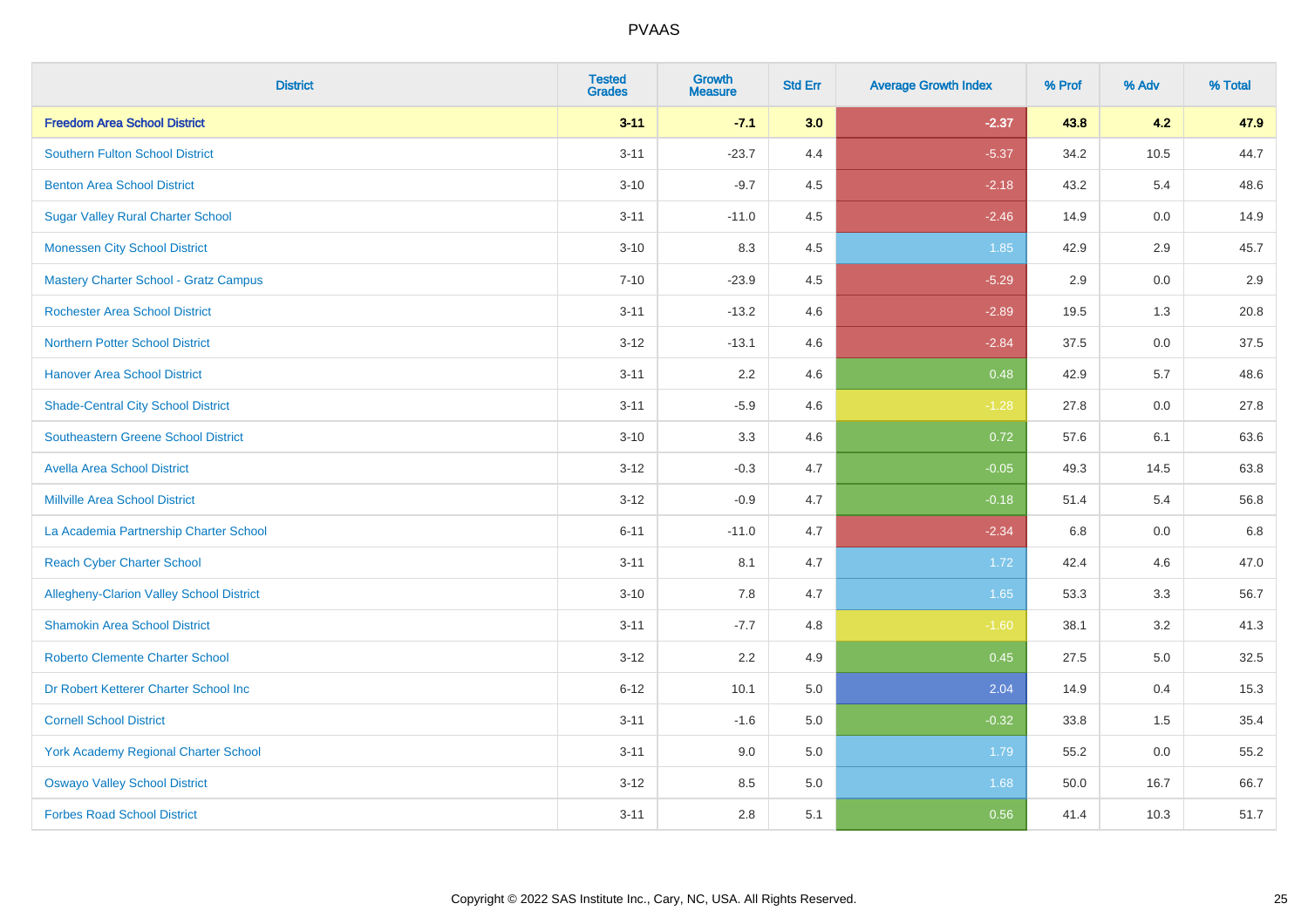| <b>District</b>                                 | <b>Tested</b><br><b>Grades</b> | <b>Growth</b><br><b>Measure</b> | <b>Std Err</b> | <b>Average Growth Index</b> | % Prof | % Adv   | % Total |
|-------------------------------------------------|--------------------------------|---------------------------------|----------------|-----------------------------|--------|---------|---------|
| <b>Freedom Area School District</b>             | $3 - 11$                       | $-7.1$                          | 3.0            | $-2.37$                     | 43.8   | 4.2     | 47.9    |
| <b>Southern Fulton School District</b>          | $3 - 11$                       | $-23.7$                         | 4.4            | $-5.37$                     | 34.2   | 10.5    | 44.7    |
| <b>Benton Area School District</b>              | $3 - 10$                       | $-9.7$                          | 4.5            | $-2.18$                     | 43.2   | 5.4     | 48.6    |
| <b>Sugar Valley Rural Charter School</b>        | $3 - 11$                       | $-11.0$                         | 4.5            | $-2.46$                     | 14.9   | $0.0\,$ | 14.9    |
| <b>Monessen City School District</b>            | $3 - 10$                       | 8.3                             | 4.5            | 1.85                        | 42.9   | 2.9     | 45.7    |
| <b>Mastery Charter School - Gratz Campus</b>    | $7 - 10$                       | $-23.9$                         | 4.5            | $-5.29$                     | 2.9    | 0.0     | 2.9     |
| <b>Rochester Area School District</b>           | $3 - 11$                       | $-13.2$                         | 4.6            | $-2.89$                     | 19.5   | 1.3     | 20.8    |
| <b>Northern Potter School District</b>          | $3 - 12$                       | $-13.1$                         | 4.6            | $-2.84$                     | 37.5   | 0.0     | 37.5    |
| <b>Hanover Area School District</b>             | $3 - 11$                       | 2.2                             | 4.6            | 0.48                        | 42.9   | 5.7     | 48.6    |
| <b>Shade-Central City School District</b>       | $3 - 11$                       | $-5.9$                          | 4.6            | $-1.28$                     | 27.8   | 0.0     | 27.8    |
| <b>Southeastern Greene School District</b>      | $3 - 10$                       | 3.3                             | 4.6            | 0.72                        | 57.6   | 6.1     | 63.6    |
| <b>Avella Area School District</b>              | $3 - 12$                       | $-0.3$                          | 4.7            | $-0.05$                     | 49.3   | 14.5    | 63.8    |
| <b>Millville Area School District</b>           | $3 - 12$                       | $-0.9$                          | 4.7            | $-0.18$                     | 51.4   | 5.4     | 56.8    |
| La Academia Partnership Charter School          | $6 - 11$                       | $-11.0$                         | 4.7            | $-2.34$                     | 6.8    | 0.0     | 6.8     |
| <b>Reach Cyber Charter School</b>               | $3 - 11$                       | 8.1                             | 4.7            | 1.72                        | 42.4   | 4.6     | 47.0    |
| <b>Allegheny-Clarion Valley School District</b> | $3 - 10$                       | 7.8                             | 4.7            | 1.65                        | 53.3   | 3.3     | 56.7    |
| <b>Shamokin Area School District</b>            | $3 - 11$                       | $-7.7$                          | 4.8            | $-1.60$                     | 38.1   | 3.2     | 41.3    |
| <b>Roberto Clemente Charter School</b>          | $3 - 12$                       | 2.2                             | 4.9            | 0.45                        | 27.5   | 5.0     | 32.5    |
| Dr Robert Ketterer Charter School Inc           | $6 - 12$                       | 10.1                            | 5.0            | 2.04                        | 14.9   | 0.4     | 15.3    |
| <b>Cornell School District</b>                  | $3 - 11$                       | $-1.6$                          | 5.0            | $-0.32$                     | 33.8   | 1.5     | 35.4    |
| York Academy Regional Charter School            | $3 - 11$                       | 9.0                             | 5.0            | 1.79                        | 55.2   | 0.0     | 55.2    |
| <b>Oswayo Valley School District</b>            | $3 - 12$                       | 8.5                             | 5.0            | 1.68                        | 50.0   | 16.7    | 66.7    |
| <b>Forbes Road School District</b>              | $3 - 11$                       | 2.8                             | 5.1            | 0.56                        | 41.4   | 10.3    | 51.7    |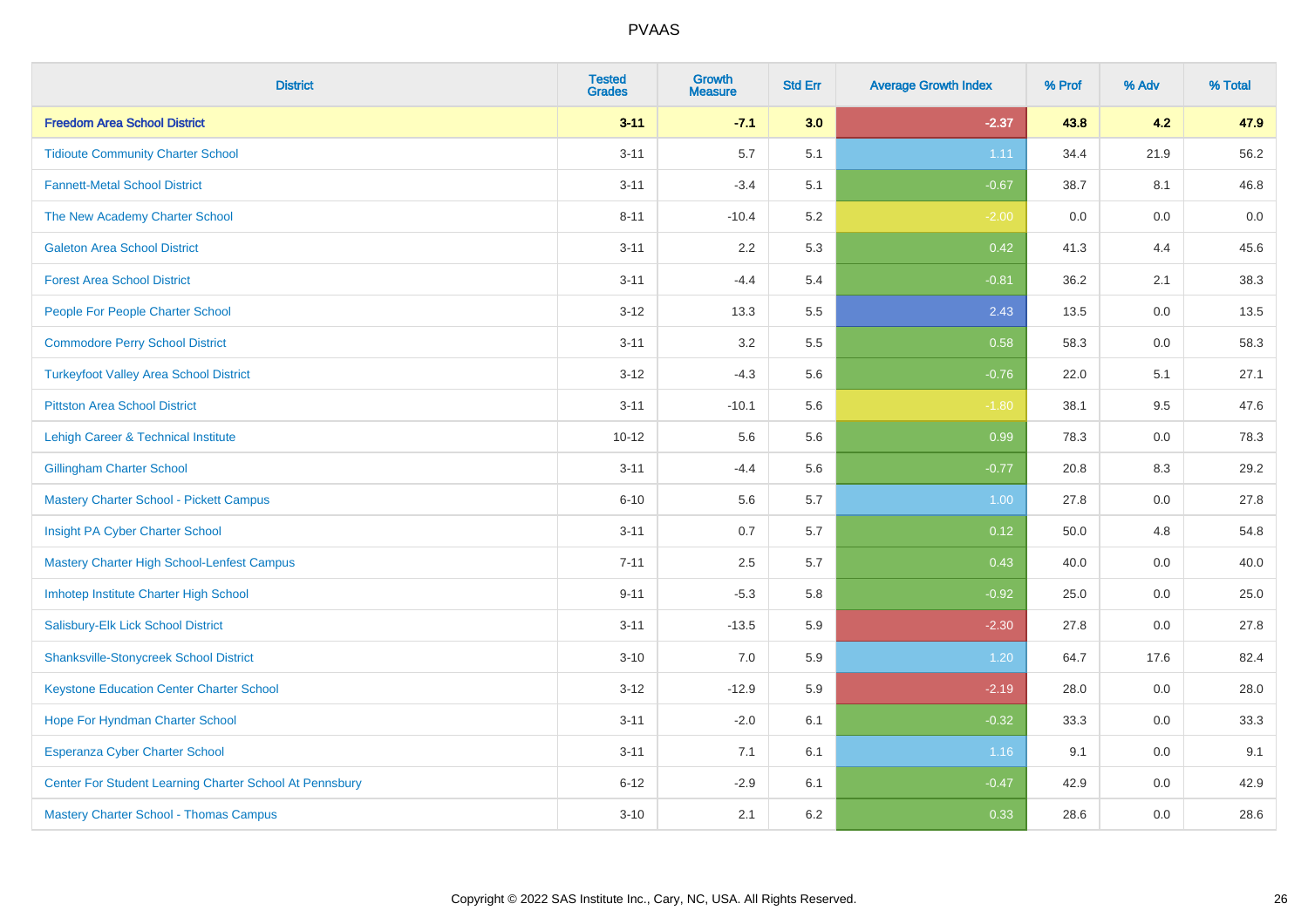| <b>District</b>                                         | <b>Tested</b><br><b>Grades</b> | <b>Growth</b><br><b>Measure</b> | <b>Std Err</b> | <b>Average Growth Index</b> | % Prof | % Adv   | % Total |
|---------------------------------------------------------|--------------------------------|---------------------------------|----------------|-----------------------------|--------|---------|---------|
| <b>Freedom Area School District</b>                     | $3 - 11$                       | $-7.1$                          | 3.0            | $-2.37$                     | 43.8   | 4.2     | 47.9    |
| <b>Tidioute Community Charter School</b>                | $3 - 11$                       | 5.7                             | 5.1            | 1.11                        | 34.4   | 21.9    | 56.2    |
| <b>Fannett-Metal School District</b>                    | $3 - 11$                       | $-3.4$                          | 5.1            | $-0.67$                     | 38.7   | 8.1     | 46.8    |
| The New Academy Charter School                          | $8 - 11$                       | $-10.4$                         | 5.2            | $-2.00$                     | 0.0    | $0.0\,$ | $0.0\,$ |
| <b>Galeton Area School District</b>                     | $3 - 11$                       | 2.2                             | 5.3            | 0.42                        | 41.3   | 4.4     | 45.6    |
| <b>Forest Area School District</b>                      | $3 - 11$                       | $-4.4$                          | 5.4            | $-0.81$                     | 36.2   | 2.1     | 38.3    |
| People For People Charter School                        | $3 - 12$                       | 13.3                            | 5.5            | 2.43                        | 13.5   | 0.0     | 13.5    |
| <b>Commodore Perry School District</b>                  | $3 - 11$                       | 3.2                             | 5.5            | 0.58                        | 58.3   | 0.0     | 58.3    |
| <b>Turkeyfoot Valley Area School District</b>           | $3 - 12$                       | $-4.3$                          | 5.6            | $-0.76$                     | 22.0   | 5.1     | 27.1    |
| <b>Pittston Area School District</b>                    | $3 - 11$                       | $-10.1$                         | 5.6            | $-1.80$                     | 38.1   | 9.5     | 47.6    |
| Lehigh Career & Technical Institute                     | $10 - 12$                      | 5.6                             | 5.6            | 0.99                        | 78.3   | 0.0     | 78.3    |
| <b>Gillingham Charter School</b>                        | $3 - 11$                       | $-4.4$                          | 5.6            | $-0.77$                     | 20.8   | 8.3     | 29.2    |
| <b>Mastery Charter School - Pickett Campus</b>          | $6 - 10$                       | 5.6                             | 5.7            | 1.00                        | 27.8   | 0.0     | 27.8    |
| Insight PA Cyber Charter School                         | $3 - 11$                       | 0.7                             | 5.7            | 0.12                        | 50.0   | 4.8     | 54.8    |
| Mastery Charter High School-Lenfest Campus              | $7 - 11$                       | 2.5                             | 5.7            | 0.43                        | 40.0   | 0.0     | 40.0    |
| Imhotep Institute Charter High School                   | $9 - 11$                       | $-5.3$                          | 5.8            | $-0.92$                     | 25.0   | 0.0     | 25.0    |
| Salisbury-Elk Lick School District                      | $3 - 11$                       | $-13.5$                         | 5.9            | $-2.30$                     | 27.8   | 0.0     | 27.8    |
| <b>Shanksville-Stonycreek School District</b>           | $3 - 10$                       | 7.0                             | 5.9            | 1.20                        | 64.7   | 17.6    | 82.4    |
| <b>Keystone Education Center Charter School</b>         | $3 - 12$                       | $-12.9$                         | 5.9            | $-2.19$                     | 28.0   | 0.0     | 28.0    |
| Hope For Hyndman Charter School                         | $3 - 11$                       | $-2.0$                          | 6.1            | $-0.32$                     | 33.3   | 0.0     | 33.3    |
| Esperanza Cyber Charter School                          | $3 - 11$                       | 7.1                             | 6.1            | 1.16                        | 9.1    | 0.0     | 9.1     |
| Center For Student Learning Charter School At Pennsbury | $6 - 12$                       | $-2.9$                          | 6.1            | $-0.47$                     | 42.9   | 0.0     | 42.9    |
| <b>Mastery Charter School - Thomas Campus</b>           | $3 - 10$                       | 2.1                             | 6.2            | 0.33                        | 28.6   | 0.0     | 28.6    |